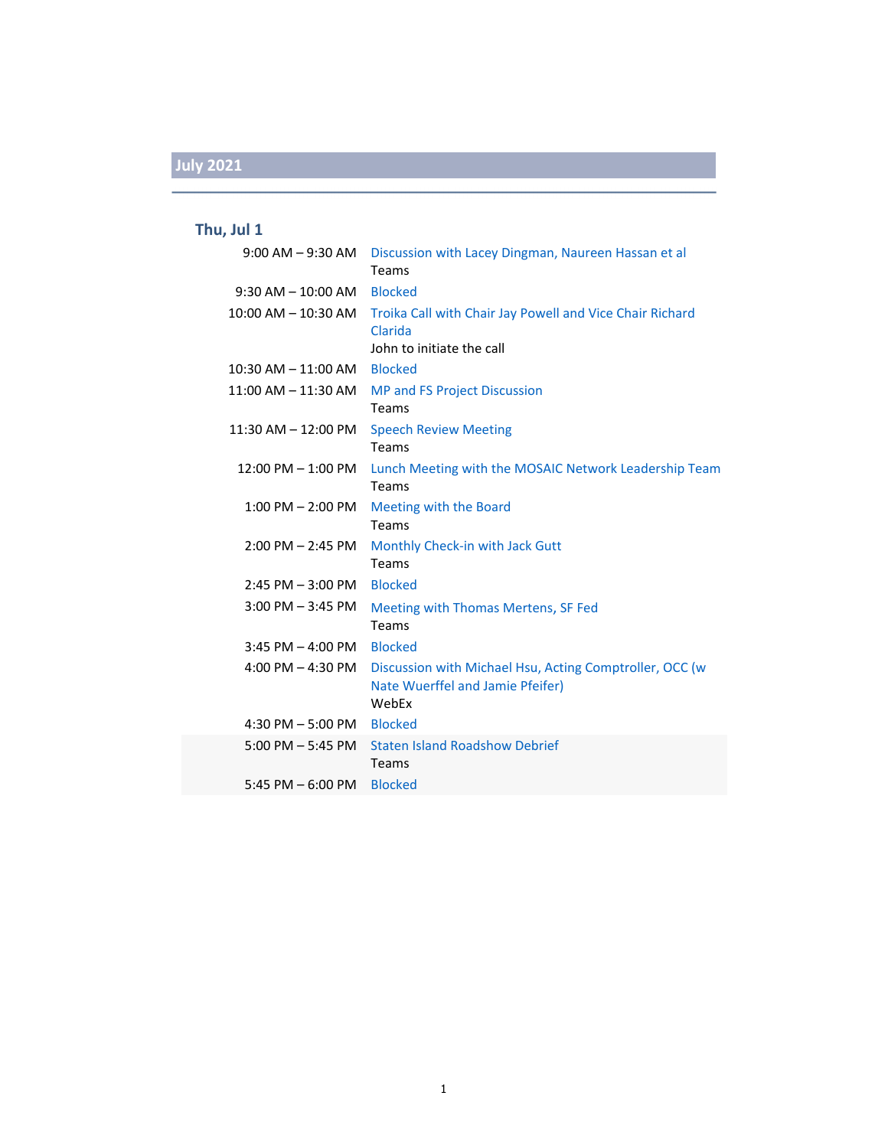### **Thu, Jul 1**

| $9:00$ AM $-9:30$ AM                | Discussion with Lacey Dingman, Naureen Hassan et al<br>Teams                                         |
|-------------------------------------|------------------------------------------------------------------------------------------------------|
| $9:30$ AM $- 10:00$ AM              | <b>Blocked</b>                                                                                       |
| 10:00 AM - 10:30 AM                 | Troika Call with Chair Jay Powell and Vice Chair Richard<br>Clarida<br>John to initiate the call     |
| $10:30$ AM $- 11:00$ AM             | <b>Blocked</b>                                                                                       |
| $11:00$ AM $-11:30$ AM              | <b>MP and FS Project Discussion</b><br>Teams                                                         |
| $11:30$ AM $-12:00$ PM              | <b>Speech Review Meeting</b><br><b>Teams</b>                                                         |
| $12:00$ PM $-1:00$ PM               | Lunch Meeting with the MOSAIC Network Leadership Team<br>Teams                                       |
| $1:00$ PM $- 2:00$ PM               | Meeting with the Board<br>Teams                                                                      |
| $2:00$ PM $- 2:45$ PM               | Monthly Check-in with Jack Gutt<br>Teams                                                             |
| $2:45$ PM $-3:00$ PM                | <b>Blocked</b>                                                                                       |
| $3:00$ PM $-3:45$ PM                | Meeting with Thomas Mertens, SF Fed<br>Teams                                                         |
| $3:45$ PM $-$ 4:00 PM               | <b>Blocked</b>                                                                                       |
| 4:00 PM $-$ 4:30 PM                 | Discussion with Michael Hsu, Acting Comptroller, OCC (w<br>Nate Wuerffel and Jamie Pfeifer)<br>WebEx |
| $4:30$ PM $-5:00$ PM                | <b>Blocked</b>                                                                                       |
| $5:00 \text{ PM} - 5:45 \text{ PM}$ | <b>Staten Island Roadshow Debrief</b><br>Teams                                                       |
| 5:45 PM $-$ 6:00 PM                 | <b>Blocked</b>                                                                                       |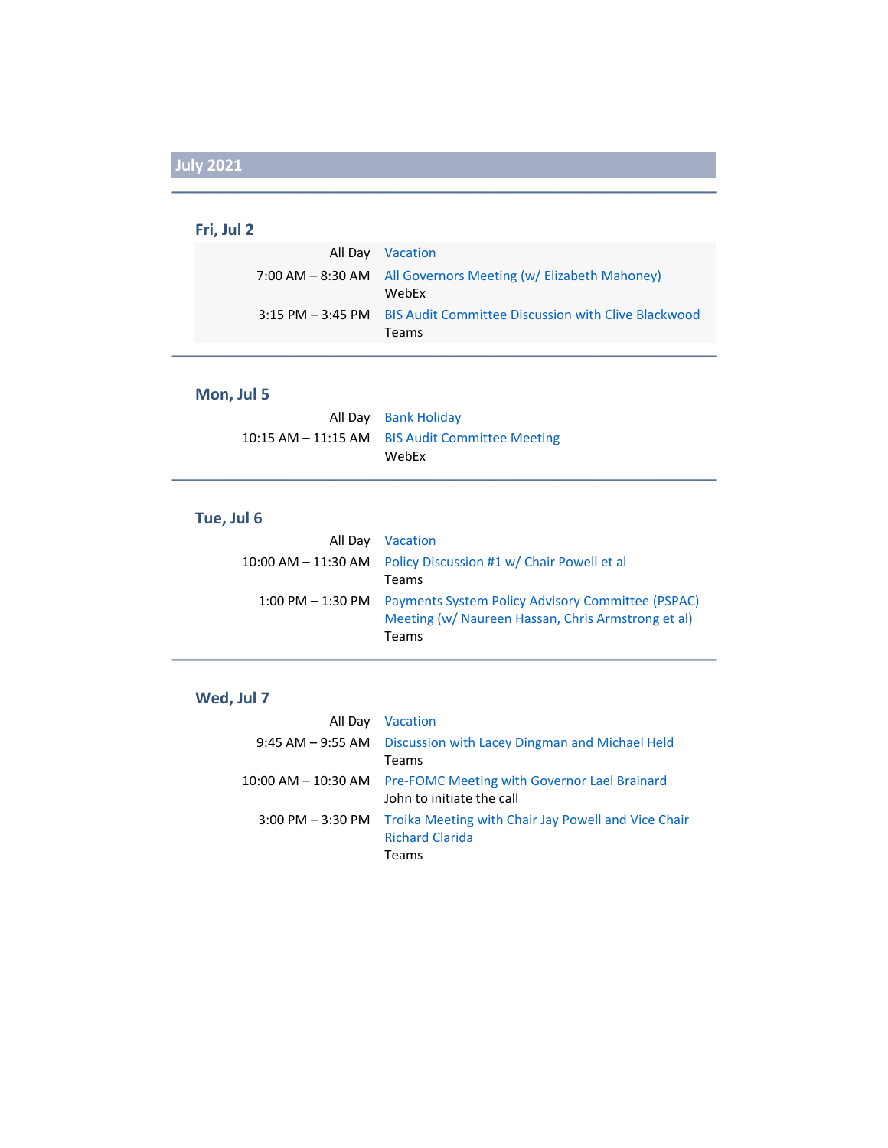### **Fri, Jul 2**

| All Day Vacation                                                               |
|--------------------------------------------------------------------------------|
| 7:00 AM - 8:30 AM All Governors Meeting (w/ Elizabeth Mahoney)<br>WebFx        |
| 3:15 PM – 3:45 PM BIS Audit Committee Discussion with Clive Blackwood<br>Teams |

### **Mon, Jul 5**

| All Day Bank Holiday                              |
|---------------------------------------------------|
| 10:15 AM – 11:15 AM – BIS Audit Committee Meeting |
| WebEx                                             |

### **Tue, Jul 6**

| All Day Vacation                                                                                                                     |
|--------------------------------------------------------------------------------------------------------------------------------------|
| 10:00 AM – 11:30 AM Policy Discussion #1 w/ Chair Powell et al                                                                       |
| Teams                                                                                                                                |
| 1:00 PM – 1:30 PM – Payments System Policy Advisory Committee (PSPAC)<br>Meeting (w/ Naureen Hassan, Chris Armstrong et al)<br>Teams |

### **Wed, Jul 7**

| All Day Vacation                                                                                         |
|----------------------------------------------------------------------------------------------------------|
| 9:45 AM – 9:55 AM Discussion with Lacey Dingman and Michael Held<br>Teams                                |
| 10:00 AM – 10:30 AM Pre-FOMC Meeting with Governor Lael Brainard<br>John to initiate the call            |
| 3:00 PM - 3:30 PM Troika Meeting with Chair Jay Powell and Vice Chair<br><b>Richard Clarida</b><br>Teams |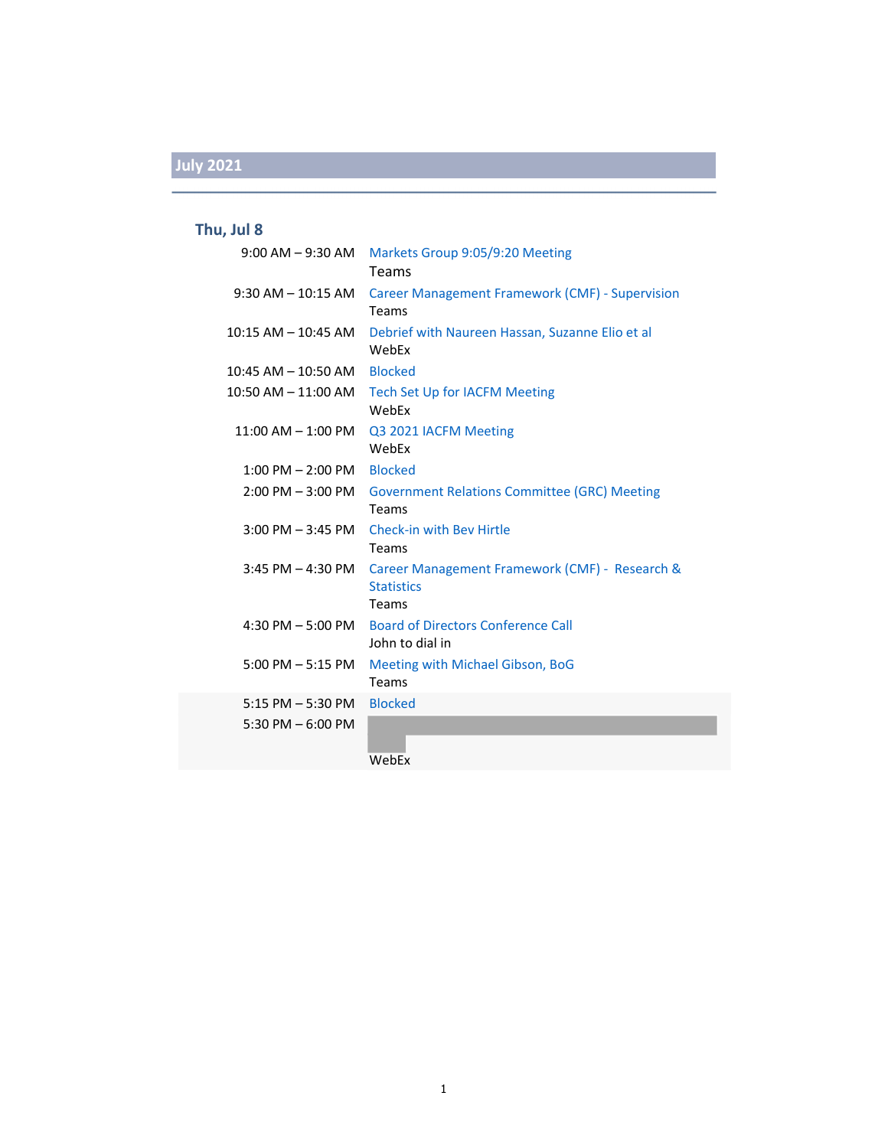### **Thu, Jul 8**

| $9:00$ AM $-9:30$ AM                        | Markets Group 9:05/9:20 Meeting<br>Teams                                     |
|---------------------------------------------|------------------------------------------------------------------------------|
| $9:30$ AM $-$ 10:15 AM                      | <b>Career Management Framework (CMF) - Supervision</b><br>Teams              |
| $10:15$ AM $- 10:45$ AM                     | Debrief with Naureen Hassan, Suzanne Elio et al<br>WebEx                     |
| $10:45$ AM $- 10:50$ AM                     | <b>Blocked</b>                                                               |
| $10:50$ AM $- 11:00$ AM                     | <b>Tech Set Up for IACFM Meeting</b><br>WebEx                                |
| $11:00$ AM $- 1:00$ PM                      | Q3 2021 IACFM Meeting<br>WebEx                                               |
| $1:00$ PM $- 2:00$ PM                       | <b>Blocked</b>                                                               |
| $2:00$ PM $-3:00$ PM                        | <b>Government Relations Committee (GRC) Meeting</b><br>Teams                 |
|                                             | 3:00 PM - 3:45 PM Check-in with Bey Hirtle<br>Teams                          |
| $3:45$ PM $- 4:30$ PM                       | Career Management Framework (CMF) - Research &<br><b>Statistics</b><br>Teams |
| 4:30 PM $-$ 5:00 PM                         | <b>Board of Directors Conference Call</b><br>John to dial in                 |
| $5:00$ PM $-5:15$ PM                        | Meeting with Michael Gibson, BoG<br>Teams                                    |
| $5:15$ PM $-5:30$ PM<br>5:30 PM $-$ 6:00 PM | <b>Blocked</b><br>WebEx                                                      |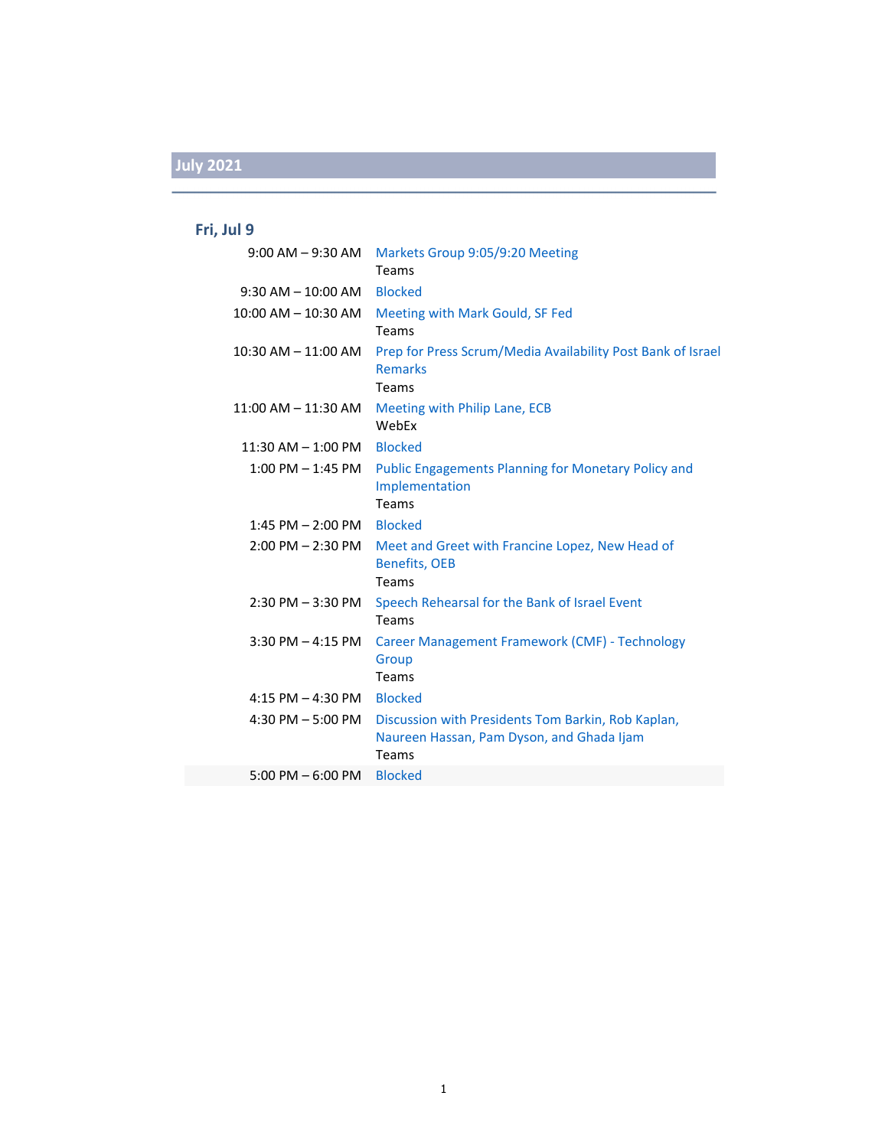## **Fri, Jul 9**

| $9:00$ AM $-9:30$ AM    | Markets Group 9:05/9:20 Meeting<br>Teams                                                                 |
|-------------------------|----------------------------------------------------------------------------------------------------------|
| $9:30$ AM $- 10:00$ AM  | <b>Blocked</b>                                                                                           |
| $10:00$ AM $- 10:30$ AM | Meeting with Mark Gould, SF Fed<br>Teams                                                                 |
| 10:30 AM - 11:00 AM     | Prep for Press Scrum/Media Availability Post Bank of Israel<br><b>Remarks</b><br>Teams                   |
| $11:00$ AM $-11:30$ AM  | Meeting with Philip Lane, ECB<br>WebEx                                                                   |
| $11:30$ AM $- 1:00$ PM  | <b>Blocked</b>                                                                                           |
| $1:00$ PM $-1:45$ PM    | <b>Public Engagements Planning for Monetary Policy and</b><br>Implementation<br><b>Teams</b>             |
| $1:45$ PM $- 2:00$ PM   | <b>Blocked</b>                                                                                           |
| $2:00$ PM $- 2:30$ PM   | Meet and Greet with Francine Lopez, New Head of<br><b>Benefits, OEB</b><br>Teams                         |
| $2:30$ PM $-3:30$ PM    | Speech Rehearsal for the Bank of Israel Event<br>Teams                                                   |
| $3:30$ PM $-$ 4:15 PM   | Career Management Framework (CMF) - Technology<br>Group<br><b>Teams</b>                                  |
| $4:15$ PM $- 4:30$ PM   | <b>Blocked</b>                                                                                           |
| 4:30 PM $-$ 5:00 PM     | Discussion with Presidents Tom Barkin, Rob Kaplan,<br>Naureen Hassan, Pam Dyson, and Ghada Ijam<br>Teams |
| $5:00$ PM $-6:00$ PM    | <b>Blocked</b>                                                                                           |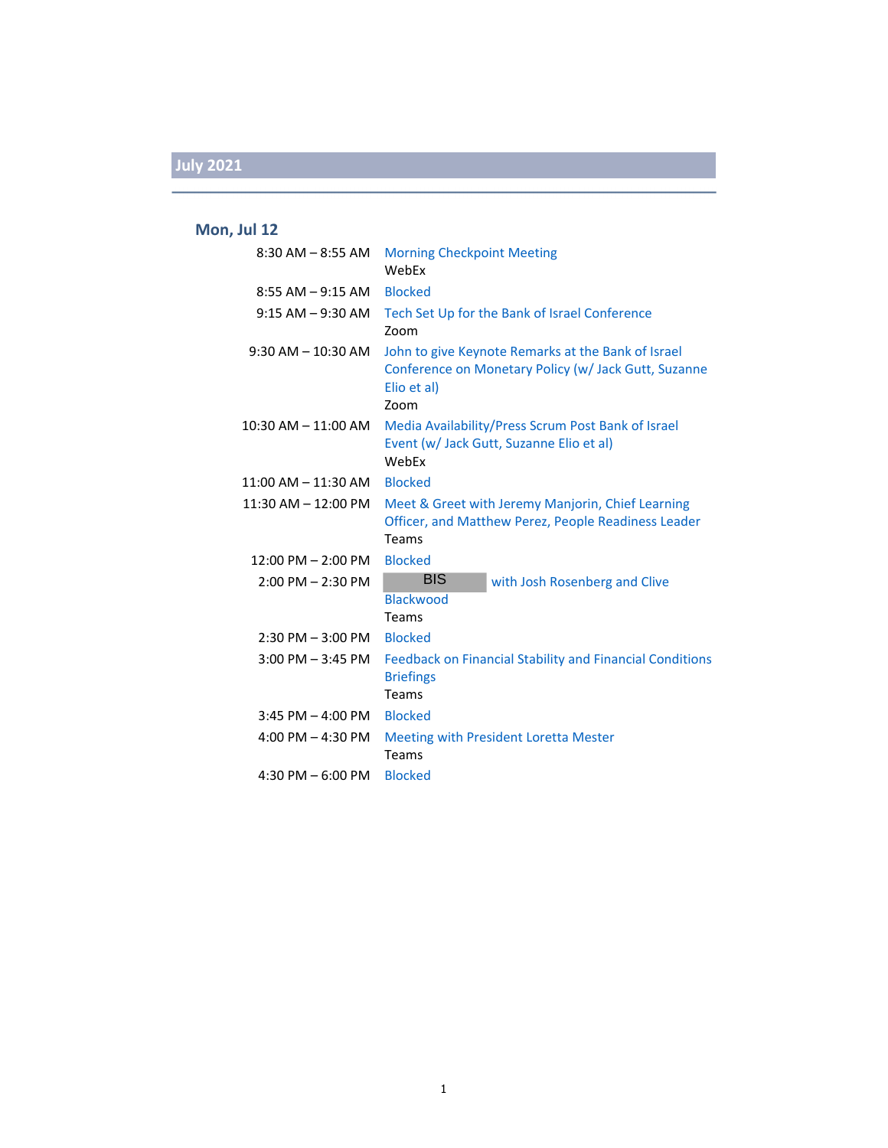#### **Mon, Jul 12**

| $8:30$ AM $-$ 8:55 AM  | <b>Morning Checkpoint Meeting</b><br>WebEx                                                                                        |
|------------------------|-----------------------------------------------------------------------------------------------------------------------------------|
| $8:55$ AM $-9:15$ AM   | <b>Blocked</b>                                                                                                                    |
| $9:15$ AM $-9:30$ AM   | Tech Set Up for the Bank of Israel Conference<br>Zoom                                                                             |
| $9:30$ AM $- 10:30$ AM | John to give Keynote Remarks at the Bank of Israel<br>Conference on Monetary Policy (w/ Jack Gutt, Suzanne<br>Elio et al)<br>Zoom |
| 10:30 AM – 11:00 AM    | Media Availability/Press Scrum Post Bank of Israel<br>Event (w/ Jack Gutt, Suzanne Elio et al)<br>WebEx                           |
| 11:00 AM – 11:30 AM    | <b>Blocked</b>                                                                                                                    |
| 11:30 AM - 12:00 PM    | Meet & Greet with Jeremy Manjorin, Chief Learning<br>Officer, and Matthew Perez, People Readiness Leader<br>Teams                 |
| $12:00$ PM $- 2:00$ PM | <b>Blocked</b>                                                                                                                    |
| $2:00$ PM $- 2:30$ PM  | <b>BIS</b><br>with Josh Rosenberg and Clive<br><b>Blackwood</b><br>Teams                                                          |
| $2:30$ PM $-3:00$ PM   | <b>Blocked</b>                                                                                                                    |
| $3:00$ PM $-3:45$ PM   | <b>Feedback on Financial Stability and Financial Conditions</b><br><b>Briefings</b><br>Teams                                      |
| $3:45$ PM $-$ 4:00 PM  | <b>Blocked</b>                                                                                                                    |
| 4:00 PM $-$ 4:30 PM    | <b>Meeting with President Loretta Mester</b><br>Teams                                                                             |
| 4:30 PM $-6:00$ PM     | <b>Blocked</b>                                                                                                                    |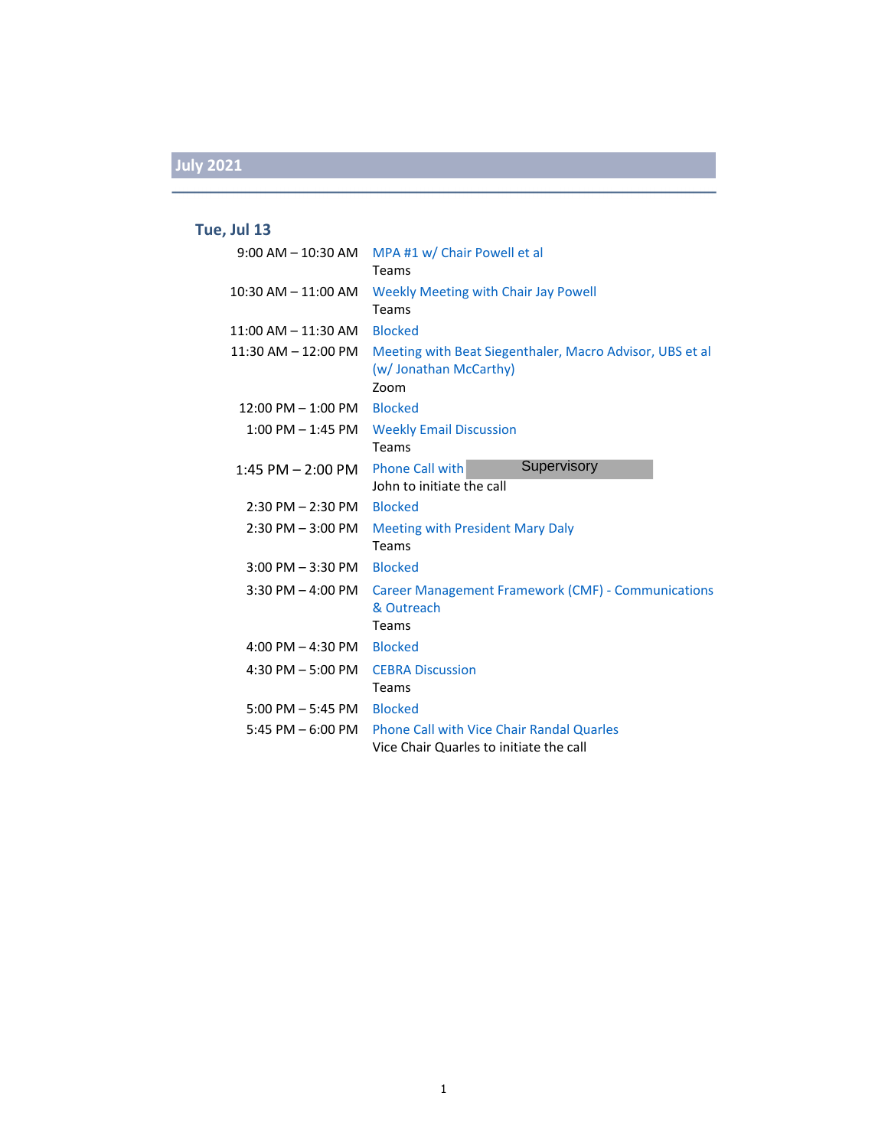### **Tue, Jul 13**

| $9:00$ AM $-$ 10:30 AM  | MPA #1 w/ Chair Powell et al<br><b>Teams</b>                                                |
|-------------------------|---------------------------------------------------------------------------------------------|
| $10:30$ AM $- 11:00$ AM | <b>Weekly Meeting with Chair Jay Powell</b><br>Teams                                        |
| $11:00$ AM $- 11:30$ AM | <b>Blocked</b>                                                                              |
| $11:30$ AM $- 12:00$ PM | Meeting with Beat Siegenthaler, Macro Advisor, UBS et al<br>(w/ Jonathan McCarthy)<br>Zoom  |
| $12:00$ PM $- 1:00$ PM  | <b>Blocked</b>                                                                              |
| $1:00$ PM $-1:45$ PM    | <b>Weekly Email Discussion</b><br><b>Teams</b>                                              |
| 1:45 PM $-$ 2:00 PM     | Supervisory<br><b>Phone Call with</b><br>John to initiate the call                          |
| $2:30$ PM $- 2:30$ PM   | <b>Blocked</b>                                                                              |
| $2:30$ PM $-3:00$ PM    | <b>Meeting with President Mary Daly</b><br>Teams                                            |
| $3:00$ PM $-3:30$ PM    | <b>Blocked</b>                                                                              |
| $3:30$ PM $-$ 4:00 PM   | Career Management Framework (CMF) - Communications<br>& Outreach<br>Teams                   |
| 4:00 PM $-$ 4:30 PM     | <b>Blocked</b>                                                                              |
| 4:30 PM $-$ 5:00 PM     | <b>CEBRA Discussion</b><br>Teams                                                            |
| $5:00$ PM $-5:45$ PM    | <b>Blocked</b>                                                                              |
| 5:45 PM $-$ 6:00 PM     | <b>Phone Call with Vice Chair Randal Quarles</b><br>Vice Chair Quarles to initiate the call |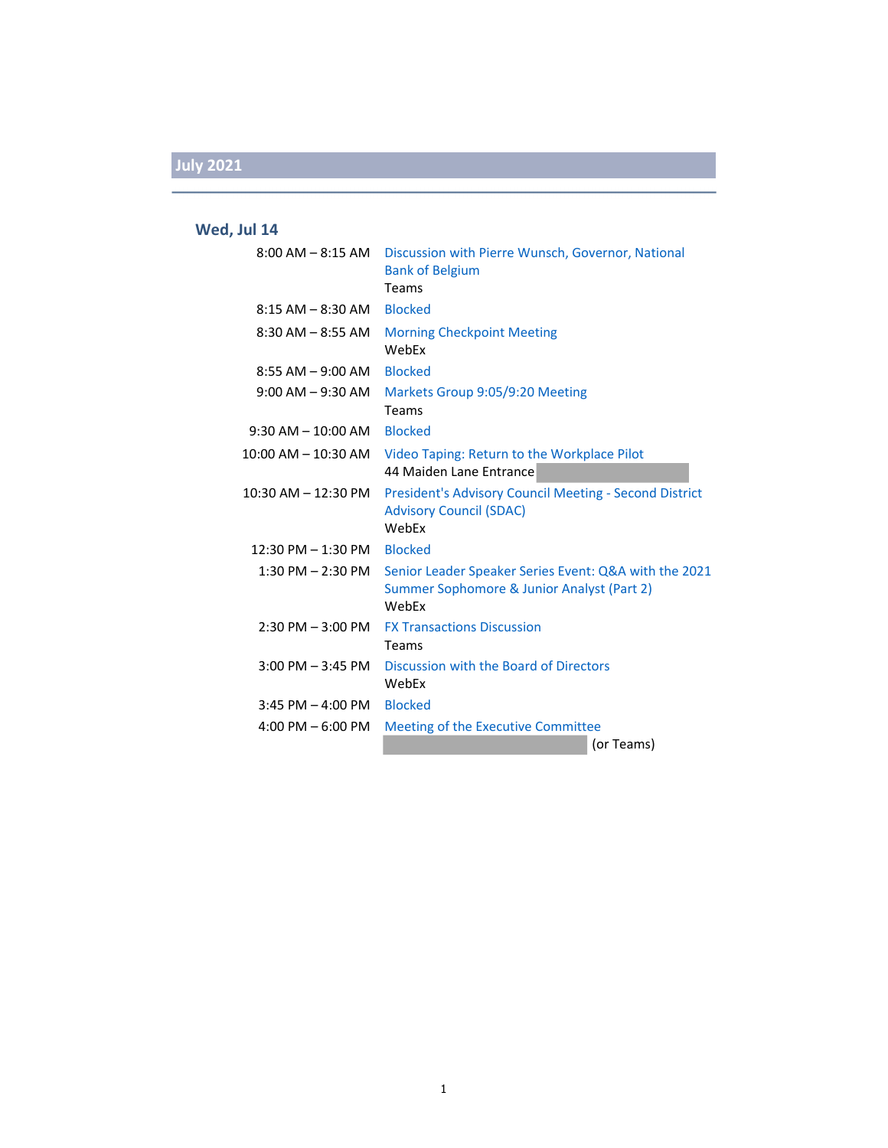### **Wed, Jul 14**

| $8:00$ AM $ 8:15$ AM    | Discussion with Pierre Wunsch, Governor, National<br><b>Bank of Belgium</b><br>Teams                         |
|-------------------------|--------------------------------------------------------------------------------------------------------------|
| $8:15$ AM $-$ 8:30 AM   | <b>Blocked</b>                                                                                               |
| $8:30$ AM $-8:55$ AM    | <b>Morning Checkpoint Meeting</b><br>WebEx                                                                   |
| $8:55$ AM $-9:00$ AM    | <b>Blocked</b>                                                                                               |
| $9:00$ AM $-9:30$ AM    | Markets Group 9:05/9:20 Meeting<br>Teams                                                                     |
| $9:30$ AM $- 10:00$ AM  | <b>Blocked</b>                                                                                               |
| 10:00 AM – 10:30 AM     | Video Taping: Return to the Workplace Pilot<br>44 Maiden Lane Entrance                                       |
| $10:30$ AM $- 12:30$ PM | <b>President's Advisory Council Meeting - Second District</b><br><b>Advisory Council (SDAC)</b><br>WebFx     |
| $12:30$ PM $- 1:30$ PM  | <b>Blocked</b>                                                                                               |
| $1:30$ PM $- 2:30$ PM   | Senior Leader Speaker Series Event: Q&A with the 2021<br>Summer Sophomore & Junior Analyst (Part 2)<br>WebEx |
| $2:30$ PM $-3:00$ PM    | <b>FX Transactions Discussion</b><br>Teams                                                                   |
| $3:00$ PM $-3:45$ PM    | Discussion with the Board of Directors<br>WebEx                                                              |
| $3:45$ PM $-$ 4:00 PM   | <b>Blocked</b>                                                                                               |
| $4:00$ PM $-6:00$ PM    | Meeting of the Executive Committee                                                                           |
|                         | (or Teams)                                                                                                   |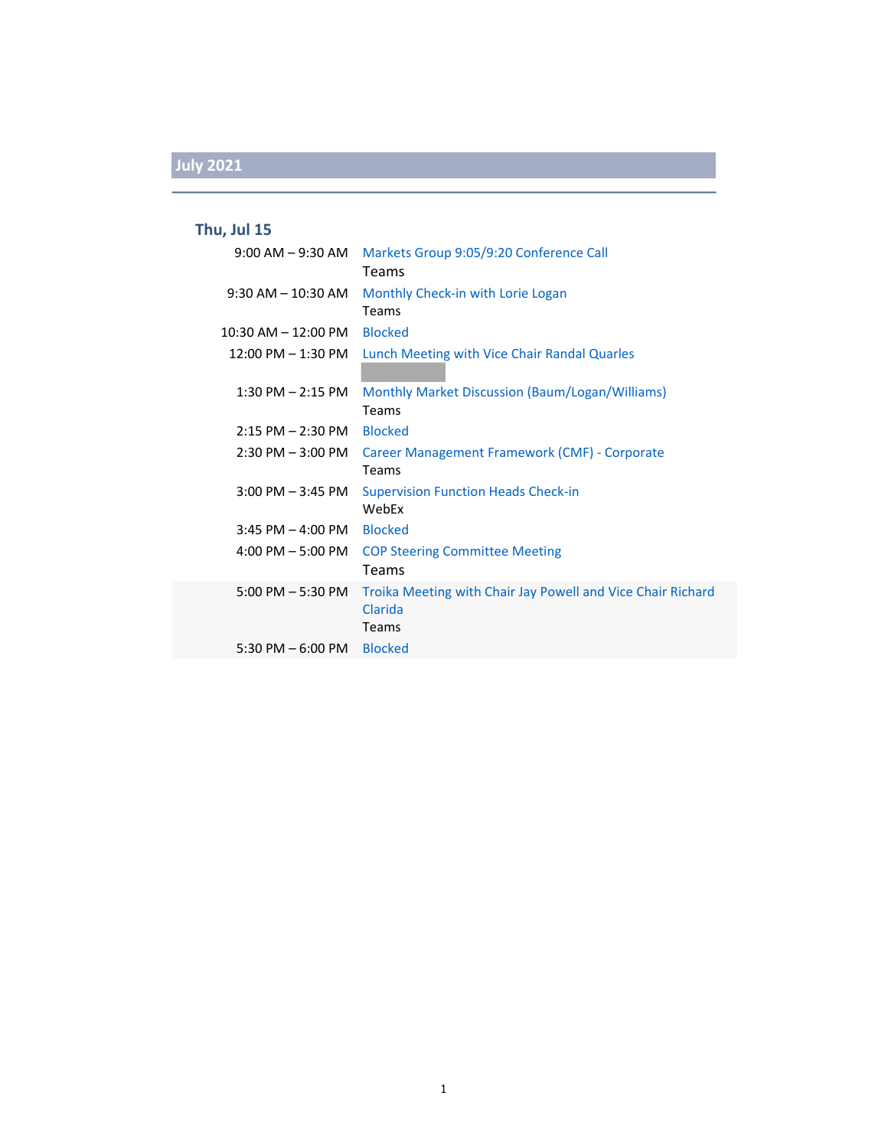### **Thu, Jul 15**

| 9:00 AM – 9:30 AM                    | Markets Group 9:05/9:20 Conference Call<br><b>Teams</b>                                |
|--------------------------------------|----------------------------------------------------------------------------------------|
| $9:30$ AM $-10:30$ AM                | Monthly Check-in with Lorie Logan<br>Teams                                             |
| $10:30$ AM $- 12:00$ PM              | <b>Blocked</b>                                                                         |
| $12:00 \text{ PM} - 1:30 \text{ PM}$ | Lunch Meeting with Vice Chair Randal Quarles                                           |
| $1:30$ PM $- 2:15$ PM                | Monthly Market Discussion (Baum/Logan/Williams)<br>Teams                               |
| $2:15$ PM $- 2:30$ PM                | <b>Blocked</b>                                                                         |
| $2:30$ PM $-3:00$ PM                 | Career Management Framework (CMF) - Corporate<br>Teams                                 |
| $3:00$ PM $-3:45$ PM                 | <b>Supervision Function Heads Check-in</b><br>WebEx                                    |
| $3:45$ PM $-$ 4:00 PM                | <b>Blocked</b>                                                                         |
| $4:00 \text{ PM} - 5:00 \text{ PM}$  | <b>COP Steering Committee Meeting</b><br><b>Teams</b>                                  |
| $5:00$ PM $-5:30$ PM                 | Troika Meeting with Chair Jay Powell and Vice Chair Richard<br>Clarida<br><b>Teams</b> |
| 5:30 PM $-$ 6:00 PM                  | <b>Blocked</b>                                                                         |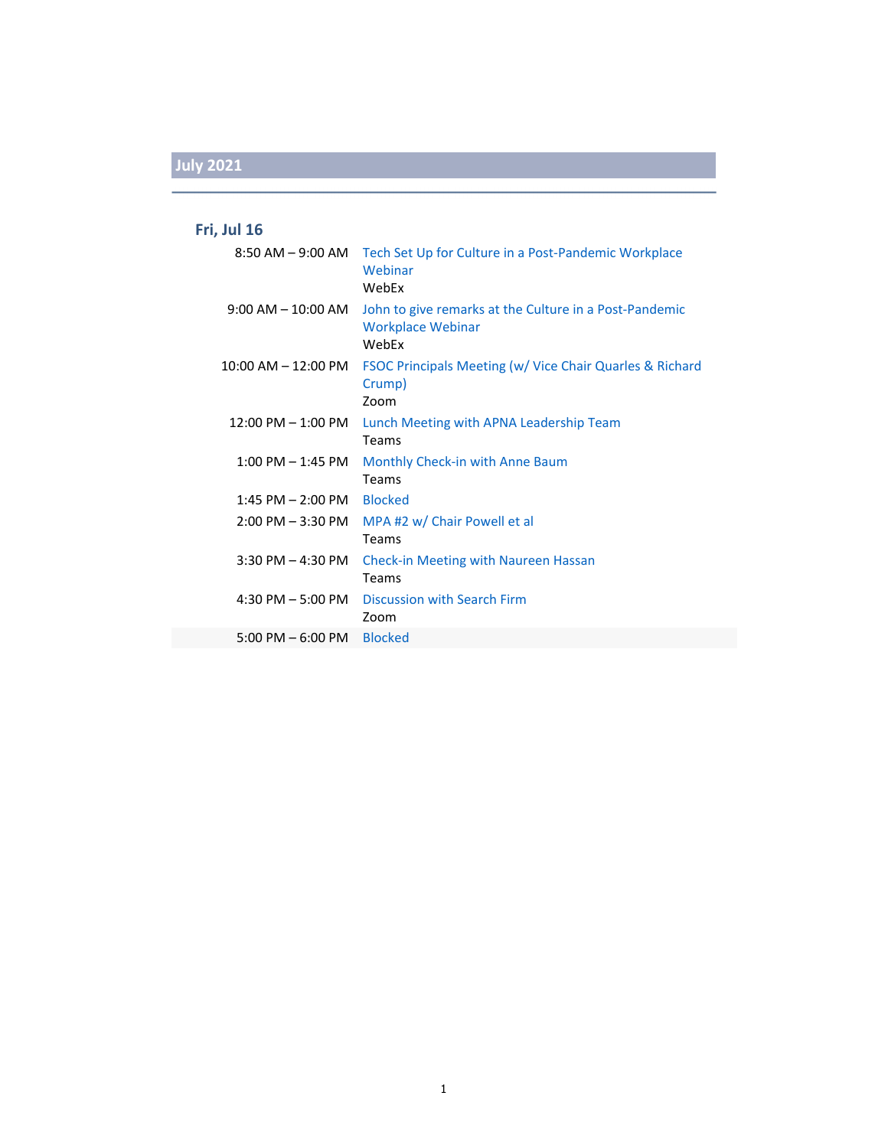### **Fri, Jul 16**

|                                          | 8:50 AM – 9:00 AM Tech Set Up for Culture in a Post-Pandemic Workplace<br>Webinar<br>WebEx  |
|------------------------------------------|---------------------------------------------------------------------------------------------|
| $9:00 \, \text{AM} - 10:00 \, \text{AM}$ | John to give remarks at the Culture in a Post-Pandemic<br><b>Workplace Webinar</b><br>WebEx |
| $10:00$ AM $- 12:00$ PM                  | FSOC Principals Meeting (w/ Vice Chair Quarles & Richard<br>Crump)<br>Zoom                  |
| 12:00 PM – 1:00 PM                       | Lunch Meeting with APNA Leadership Team<br>Teams                                            |
| $1:00$ PM $-1:45$ PM                     | Monthly Check-in with Anne Baum<br>Teams                                                    |
| $1:45$ PM $- 2:00$ PM                    | <b>Blocked</b>                                                                              |
| $2:00$ PM $-3:30$ PM                     | MPA #2 w/ Chair Powell et al<br><b>Teams</b>                                                |
| $3:30$ PM $-$ 4:30 PM                    | <b>Check-in Meeting with Naureen Hassan</b><br>Teams                                        |
| $4:30$ PM $-5:00$ PM                     | Discussion with Search Firm<br>Zoom                                                         |
| $5:00 \text{ PM} - 6:00 \text{ PM}$      | <b>Blocked</b>                                                                              |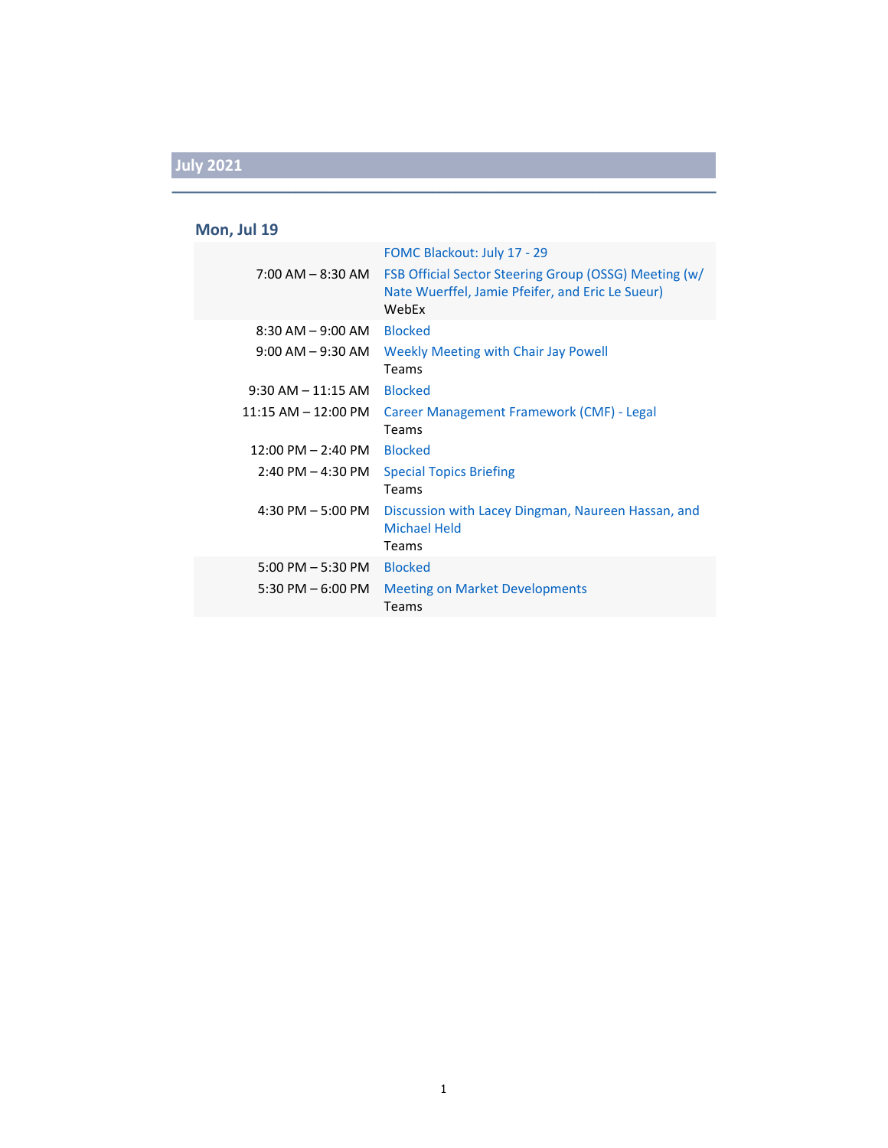### **Mon, Jul 19**

|                                     | FOMC Blackout: July 17 - 29                                                                                        |
|-------------------------------------|--------------------------------------------------------------------------------------------------------------------|
| $7:00$ AM $-$ 8:30 AM               | FSB Official Sector Steering Group (OSSG) Meeting (w/<br>Nate Wuerffel, Jamie Pfeifer, and Eric Le Sueur)<br>WebEx |
| $8:30$ AM $-9:00$ AM                | <b>Blocked</b>                                                                                                     |
| $9:00$ AM $-9:30$ AM                | Weekly Meeting with Chair Jay Powell<br>Teams                                                                      |
| $9:30$ AM $-11:15$ AM               | <b>Blocked</b>                                                                                                     |
| $11:15$ AM $- 12:00$ PM             | Career Management Framework (CMF) - Legal<br>Teams                                                                 |
| $12:00$ PM $- 2:40$ PM              | <b>Blocked</b>                                                                                                     |
| $2:40$ PM $-$ 4:30 PM               | <b>Special Topics Briefing</b><br>Teams                                                                            |
| $4:30$ PM $-5:00$ PM                | Discussion with Lacey Dingman, Naureen Hassan, and<br><b>Michael Held</b><br>Teams                                 |
| $5:00 \text{ PM} - 5:30 \text{ PM}$ | <b>Blocked</b>                                                                                                     |
| $5:30$ PM $-6:00$ PM                | <b>Meeting on Market Developments</b><br>Teams                                                                     |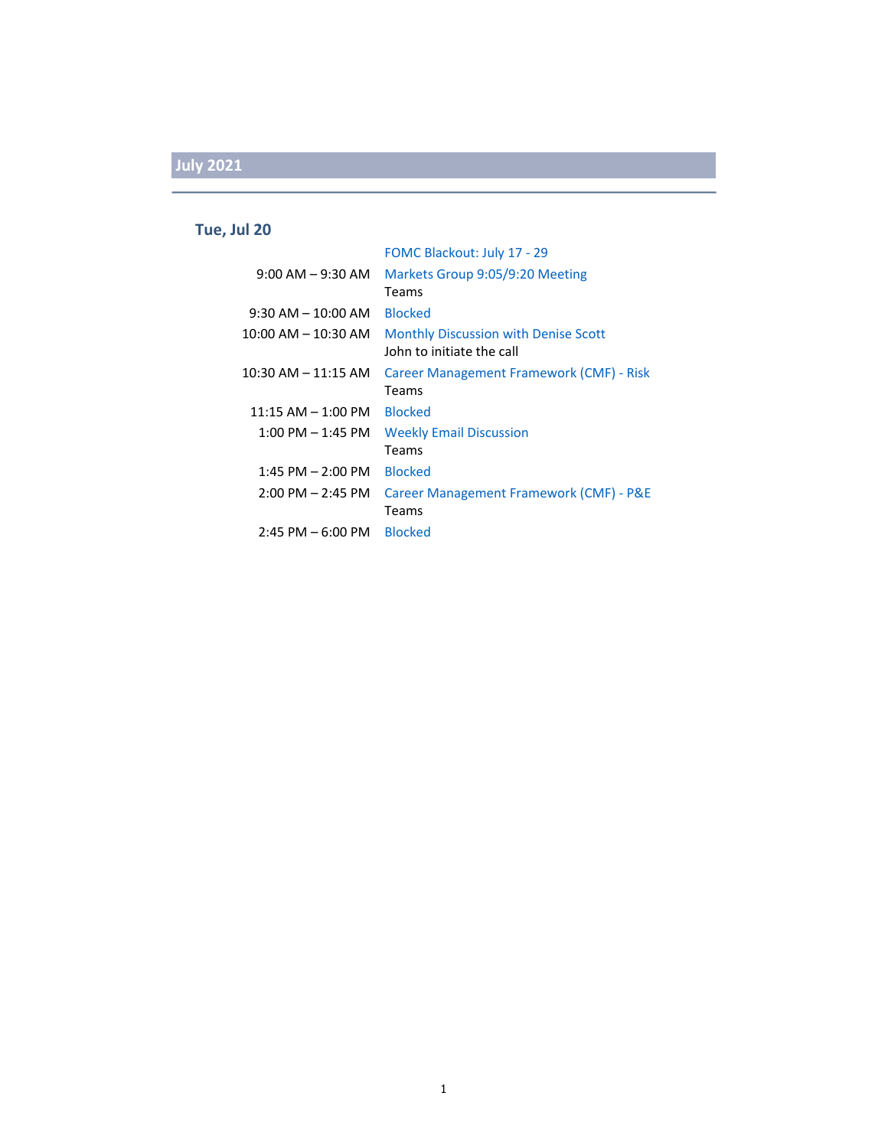#### **Tue, Jul 20**

|                         | FOMC Blackout: July 17 - 29                                              |
|-------------------------|--------------------------------------------------------------------------|
| $9:00$ AM $-9:30$ AM    | Markets Group 9:05/9:20 Meeting<br>Teams                                 |
| $9:30$ AM $-$ 10:00 AM  | <b>Blocked</b>                                                           |
| $10:00$ AM $- 10:30$ AM | <b>Monthly Discussion with Denise Scott</b><br>John to initiate the call |
| $10:30$ AM $- 11:15$ AM | Career Management Framework (CMF) - Risk<br>Teams                        |
| $11:15 AM - 1:00 PM$    | <b>Blocked</b>                                                           |
| $1:00$ PM $-1:45$ PM    | <b>Weekly Email Discussion</b>                                           |
|                         | Teams                                                                    |
| $1:45$ PM $- 2:00$ PM   | <b>Blocked</b>                                                           |
| $2:00$ PM $- 2:45$ PM   | Career Management Framework (CMF) - P&E<br>Teams                         |
| $2:45$ PM $-6:00$ PM    | <b>Blocked</b>                                                           |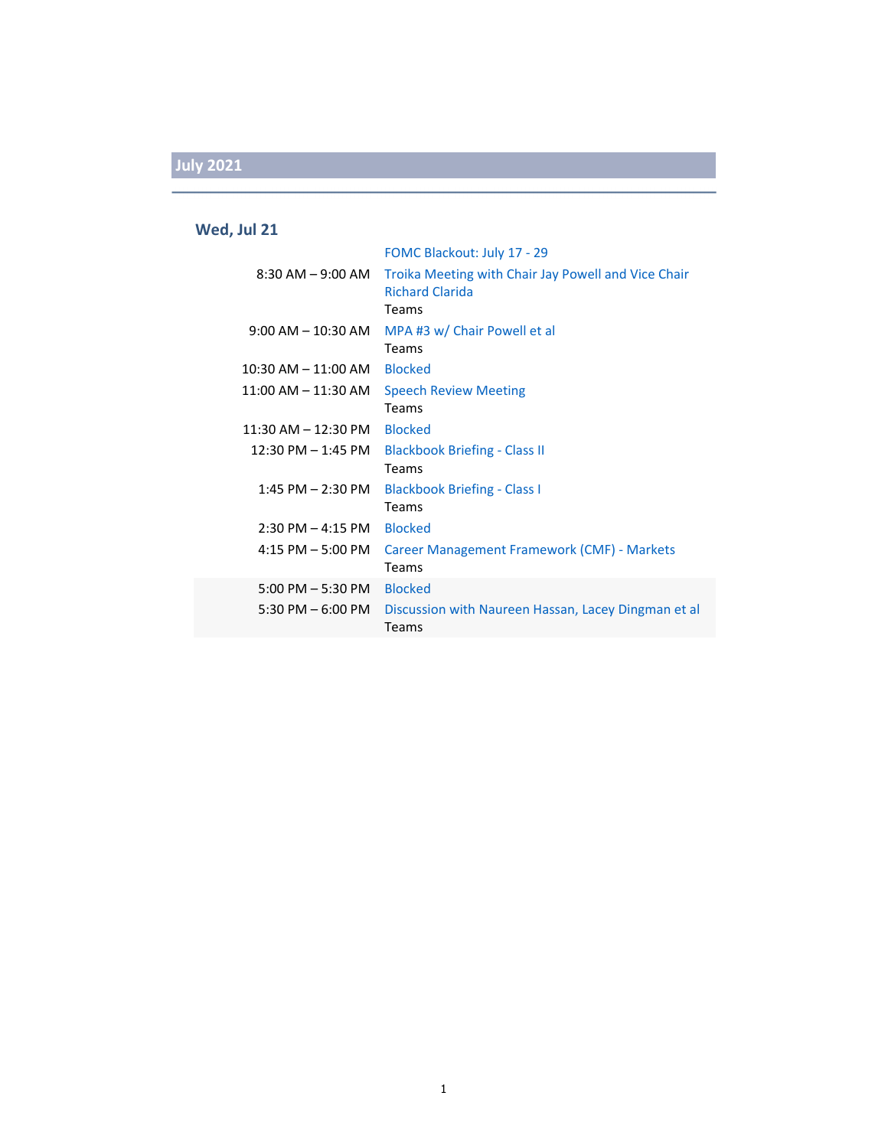### **Wed, Jul 21**

|                                     | FOMC Blackout: July 17 - 29                                                            |
|-------------------------------------|----------------------------------------------------------------------------------------|
| $8:30$ AM $-9:00$ AM                | Troika Meeting with Chair Jay Powell and Vice Chair<br><b>Richard Clarida</b><br>Teams |
| $9:00$ AM $- 10:30$ AM              | MPA #3 w/ Chair Powell et al<br>Teams                                                  |
| $10:30$ AM $ 11:00$ AM              | <b>Blocked</b>                                                                         |
| $11:00$ AM $-11:30$ AM              | <b>Speech Review Meeting</b>                                                           |
|                                     | Teams                                                                                  |
| $11:30$ AM $- 12:30$ PM             | <b>Blocked</b>                                                                         |
| $12:30$ PM $- 1:45$ PM              | <b>Blackbook Briefing - Class II</b><br>Teams                                          |
| 1:45 PM $-$ 2:30 PM                 | <b>Blackbook Briefing - Class I</b>                                                    |
|                                     | Teams                                                                                  |
| $2:30$ PM $-$ 4:15 PM               | <b>Blocked</b>                                                                         |
| $4:15$ PM $-5:00$ PM                | Career Management Framework (CMF) - Markets<br>Teams                                   |
| $5:00$ PM $-5:30$ PM                | <b>Blocked</b>                                                                         |
| $5:30 \text{ PM} - 6:00 \text{ PM}$ | Discussion with Naureen Hassan, Lacey Dingman et al<br>Teams                           |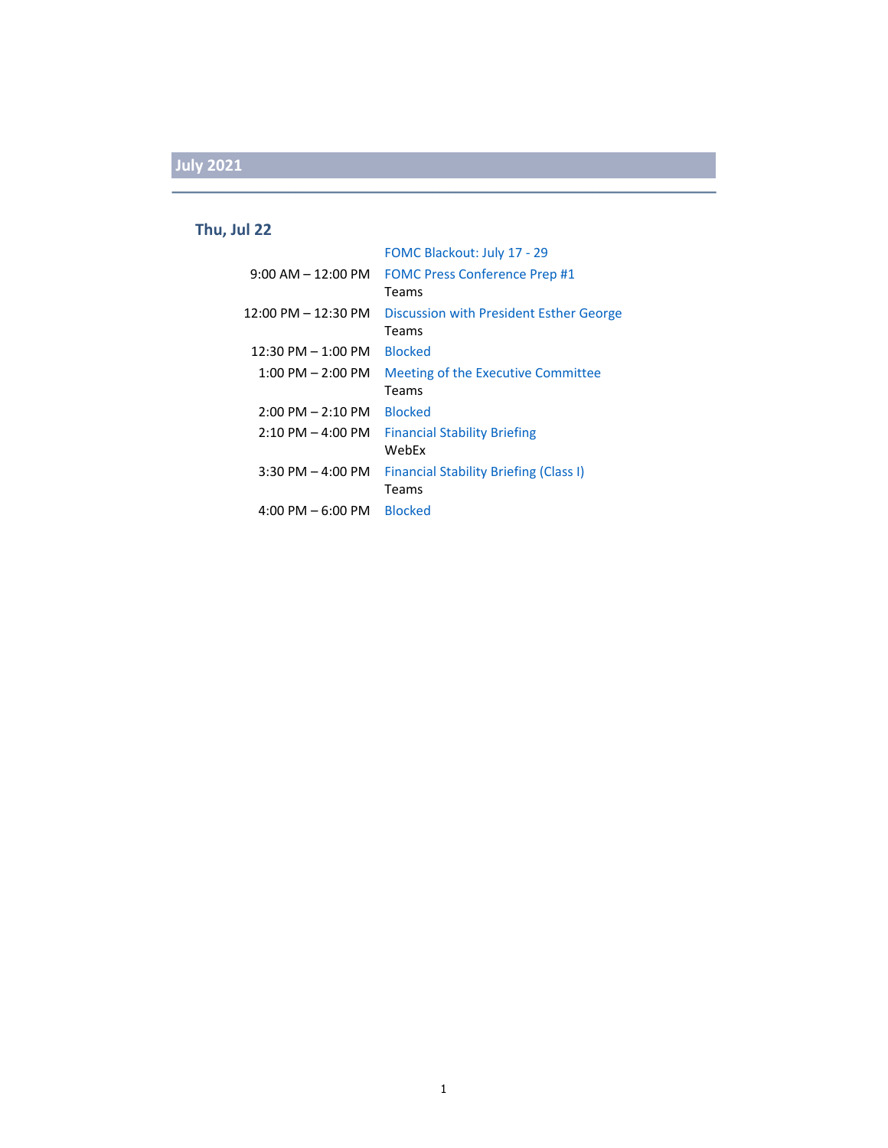#### **Thu, Jul 22**

|                                     | FOMC Blackout: July 17 - 29                   |
|-------------------------------------|-----------------------------------------------|
| $9:00$ AM $- 12:00$ PM              | <b>FOMC Press Conference Prep #1</b>          |
|                                     | Teams                                         |
| 12:00 PM - 12:30 PM                 | Discussion with President Esther George       |
|                                     | Teams                                         |
| $12:30$ PM $- 1:00$ PM              | <b>Blocked</b>                                |
| $1:00$ PM $- 2:00$ PM               | <b>Meeting of the Executive Committee</b>     |
|                                     | Teams                                         |
| $2:00 \text{ PM} - 2:10 \text{ PM}$ | <b>Blocked</b>                                |
| $2:10$ PM $-$ 4:00 PM               | <b>Financial Stability Briefing</b>           |
|                                     | WebFx                                         |
| $3:30$ PM $-$ 4:00 PM               | <b>Financial Stability Briefing (Class I)</b> |
|                                     | Teams                                         |
| $4:00$ PM $-6:00$ PM                | Blocked                                       |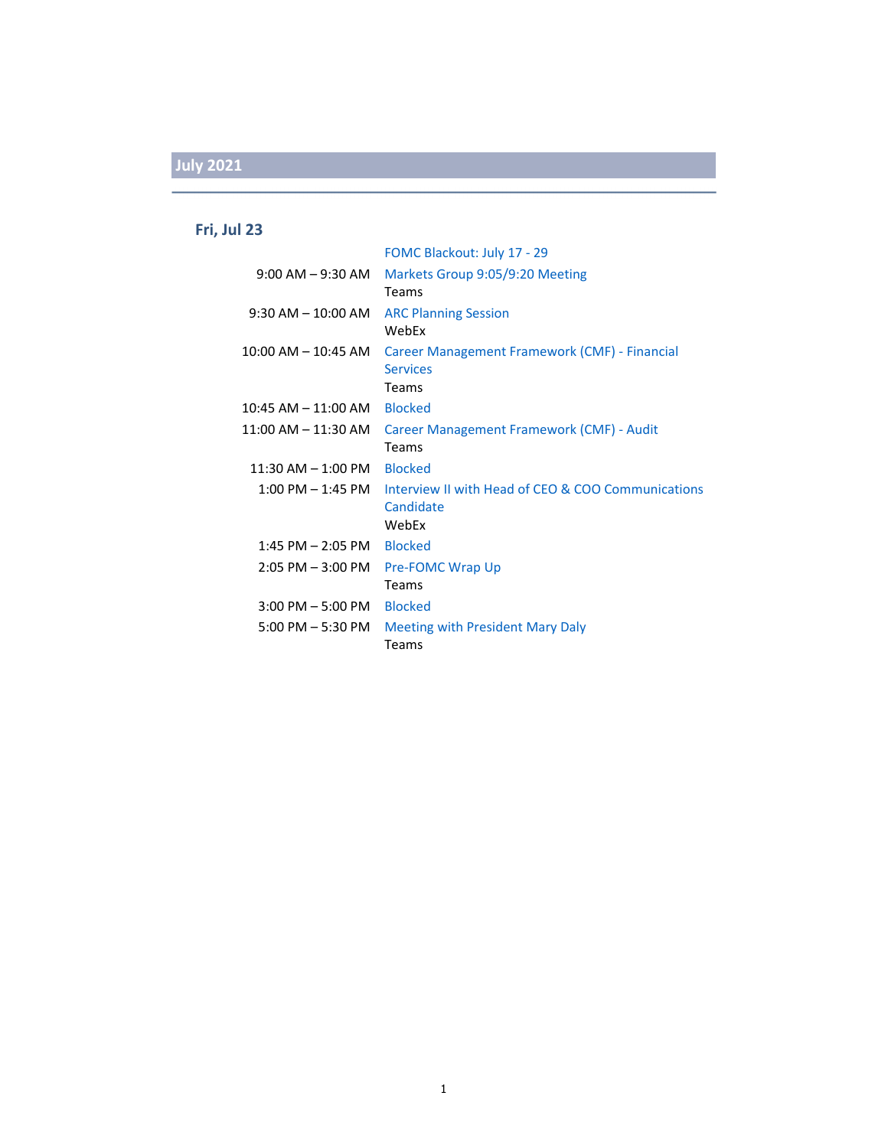### **Fri, Jul 23**

|                                     | FOMC Blackout: July 17 - 29                                               |
|-------------------------------------|---------------------------------------------------------------------------|
| $9:00$ AM $-9:30$ AM                | Markets Group 9:05/9:20 Meeting<br>Teams                                  |
| $9:30$ AM $- 10:00$ AM              | <b>ARC Planning Session</b><br>WebEx                                      |
| $10:00$ AM $- 10:45$ AM             | Career Management Framework (CMF) - Financial<br><b>Services</b><br>Teams |
| $10:45$ AM $- 11:00$ AM             | <b>Blocked</b>                                                            |
| $11:00$ AM $-11:30$ AM              | Career Management Framework (CMF) - Audit<br>Teams                        |
| $11:30$ AM $- 1:00$ PM              | <b>Blocked</b>                                                            |
| $1:00 \text{ PM} - 1:45 \text{ PM}$ | Interview II with Head of CEO & COO Communications<br>Candidate<br>WebEx  |
| $1:45$ PM $- 2:05$ PM               | <b>Blocked</b>                                                            |
| $2:05$ PM $-3:00$ PM                | <b>Pre-FOMC Wrap Up</b><br>Teams                                          |
| $3:00$ PM $-5:00$ PM                | <b>Blocked</b>                                                            |
| $5:00$ PM $-5:30$ PM                | Meeting with President Mary Daly<br>Teams                                 |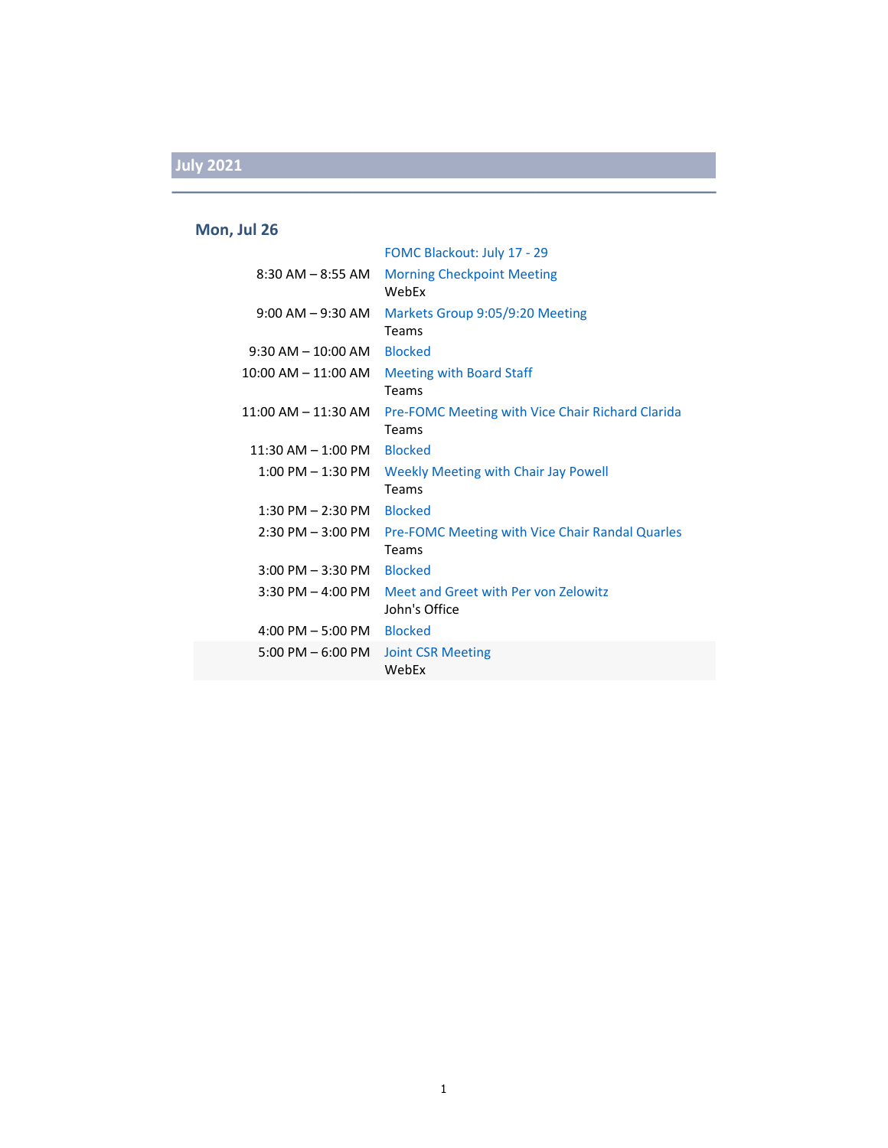### **Mon, Jul 26**

|                                     | FOMC Blackout: July 17 - 29                                      |
|-------------------------------------|------------------------------------------------------------------|
| $8:30$ AM $-$ 8:55 AM               | <b>Morning Checkpoint Meeting</b><br>WebEx                       |
| $9:00$ AM $ 9:30$ AM                | Markets Group 9:05/9:20 Meeting<br>Teams                         |
| $9:30$ AM $-10:00$ AM               | <b>Blocked</b>                                                   |
| $10:00$ AM $- 11:00$ AM             | <b>Meeting with Board Staff</b><br>Teams                         |
| $11:00$ AM $- 11:30$ AM             | Pre-FOMC Meeting with Vice Chair Richard Clarida<br><b>Teams</b> |
| $11:30$ AM $-1:00$ PM               | <b>Blocked</b>                                                   |
| $1:00$ PM $-1:30$ PM                | Weekly Meeting with Chair Jay Powell<br><b>Teams</b>             |
| $1:30$ PM $- 2:30$ PM               | <b>Blocked</b>                                                   |
| 2:30 PM – 3:00 PM                   | <b>Pre-FOMC Meeting with Vice Chair Randal Quarles</b><br>Teams  |
| $3:00$ PM $-3:30$ PM                | <b>Blocked</b>                                                   |
| $3:30$ PM $-$ 4:00 PM               | Meet and Greet with Per von Zelowitz<br>John's Office            |
| $4:00 \text{ PM} - 5:00 \text{ PM}$ | <b>Blocked</b>                                                   |
| $5:00 \text{ PM} - 6:00 \text{ PM}$ | <b>Joint CSR Meeting</b><br>WebEx                                |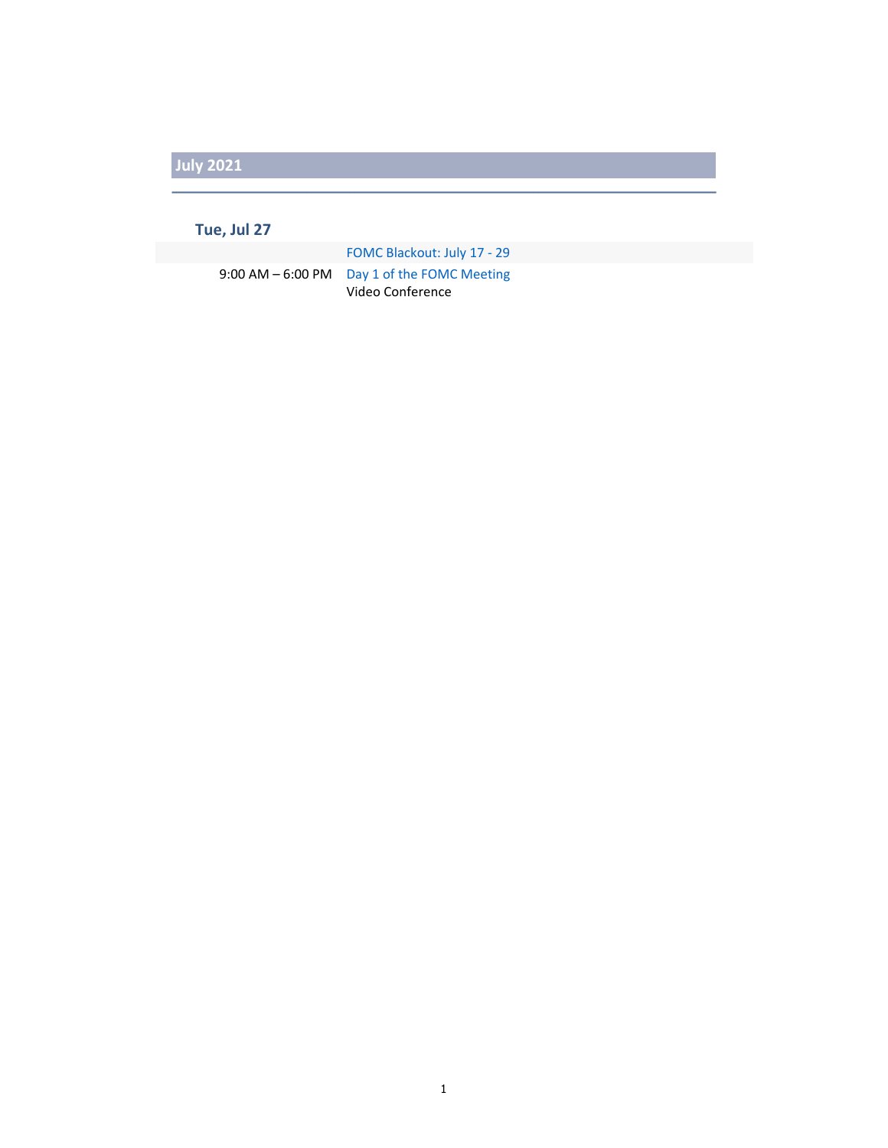#### **Tue, Jul 27**

FOMC Blackout: July 17 ‐ 29 9:00 AM - 6:00 PM Day 1 of the FOMC Meeting Video Conference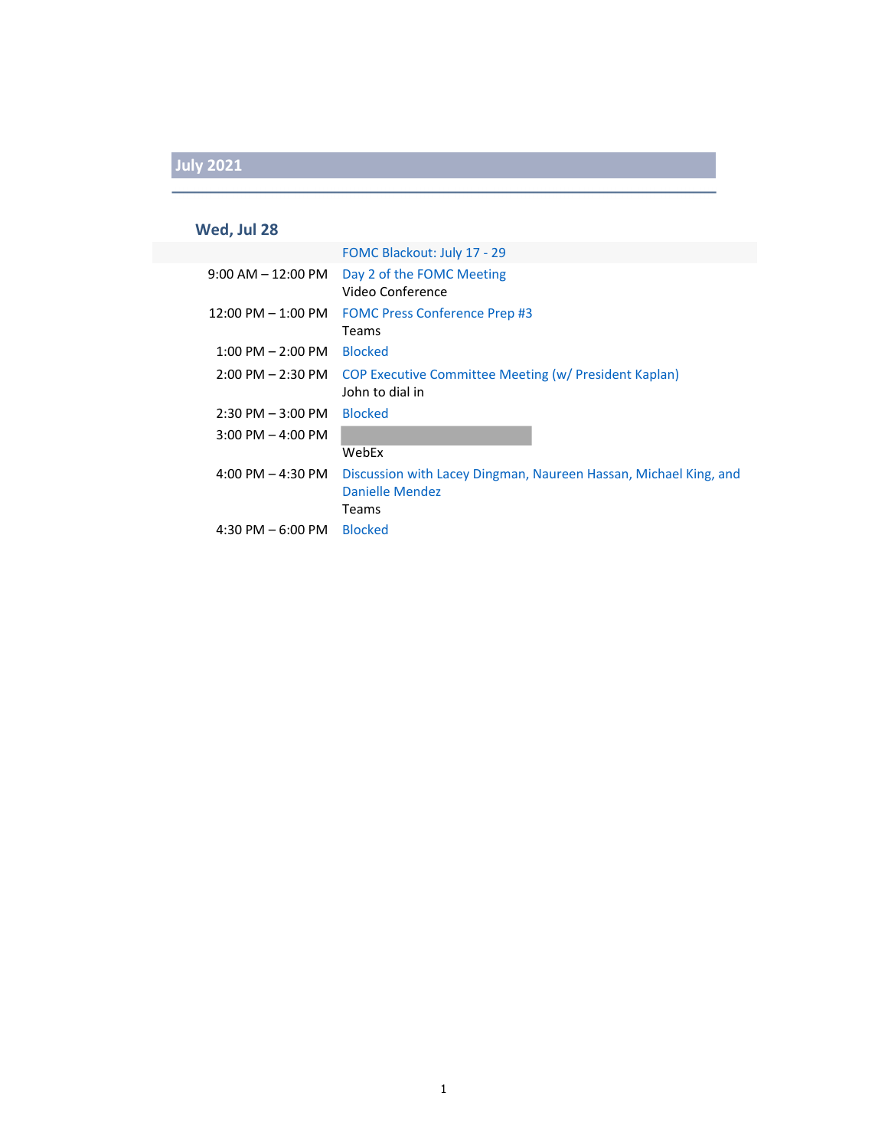### **Wed, Jul 28**

|                       | FOMC Blackout: July 17 - 29                                                                  |
|-----------------------|----------------------------------------------------------------------------------------------|
| 9:00 AM – 12:00 PM    | Day 2 of the FOMC Meeting<br>Video Conference                                                |
| $12:00$ PM $-1:00$ PM | <b>FOMC Press Conference Prep #3</b><br>Teams                                                |
| $1:00$ PM $- 2:00$ PM | <b>Blocked</b>                                                                               |
| $2:00$ PM $- 2:30$ PM | <b>COP Executive Committee Meeting (w/ President Kaplan)</b><br>John to dial in              |
| $2:30$ PM $-3:00$ PM  | <b>Blocked</b>                                                                               |
| $3:00$ PM $-$ 4:00 PM |                                                                                              |
|                       | WebEx                                                                                        |
| 4:00 PM $-$ 4:30 PM   | Discussion with Lacey Dingman, Naureen Hassan, Michael King, and<br>Danielle Mendez<br>Teams |
| 4:30 PM $-6:00$ PM    | <b>Blocked</b>                                                                               |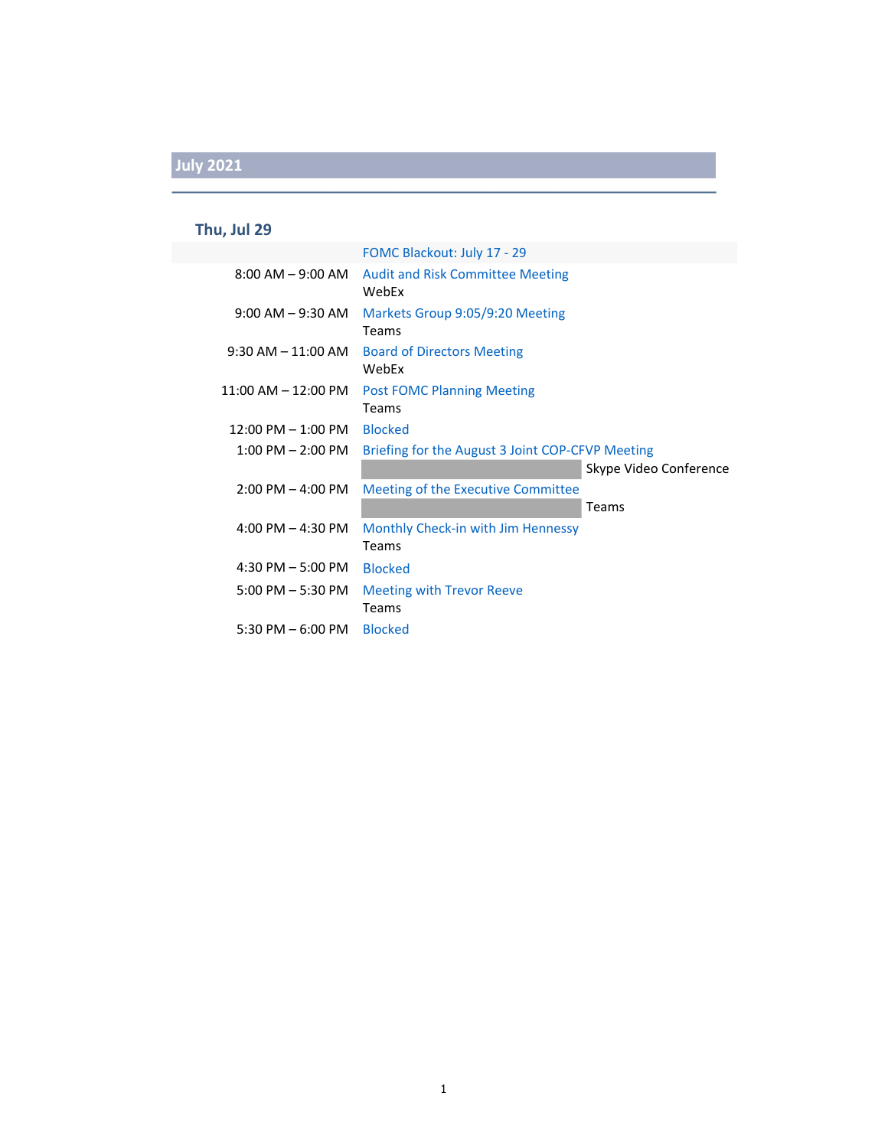# **Thu, Jul 29**

|                         | FOMC Blackout: July 17 - 29                      |                        |
|-------------------------|--------------------------------------------------|------------------------|
| $8:00$ AM $-9:00$ AM    | <b>Audit and Risk Committee Meeting</b><br>WebEx |                        |
| $9:00$ AM $-9:30$ AM    | Markets Group 9:05/9:20 Meeting<br>Teams         |                        |
| $9:30$ AM $-11:00$ AM   | <b>Board of Directors Meeting</b><br>WebEx       |                        |
| $11:00$ AM $- 12:00$ PM | <b>Post FOMC Planning Meeting</b><br>Teams       |                        |
| $12:00$ PM $- 1:00$ PM  | <b>Blocked</b>                                   |                        |
| $1:00$ PM $- 2:00$ PM   | Briefing for the August 3 Joint COP-CFVP Meeting | Skype Video Conference |
| $2:00$ PM $-$ 4:00 PM   | Meeting of the Executive Committee               |                        |
|                         |                                                  | Teams                  |
| $4:00$ PM $- 4:30$ PM   | Monthly Check-in with Jim Hennessy<br>Teams      |                        |
| $4:30$ PM $-5:00$ PM    | <b>Blocked</b>                                   |                        |
| $5:00$ PM $-5:30$ PM    | <b>Meeting with Trevor Reeve</b><br>Teams        |                        |
| 5:30 PM $-$ 6:00 PM     | <b>Blocked</b>                                   |                        |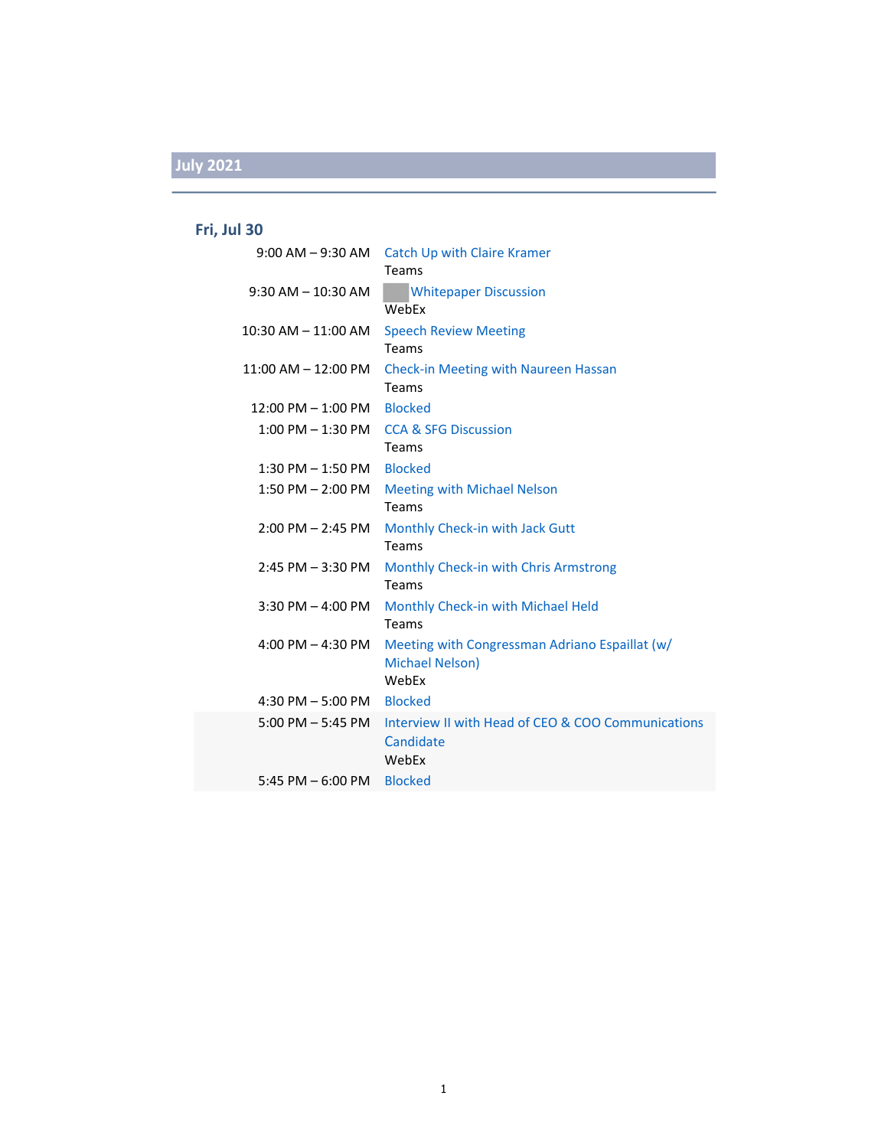### **Fri, Jul 30**

| $9:00$ AM $-9:30$ AM    | <b>Catch Up with Claire Kramer</b><br>Teams                       |
|-------------------------|-------------------------------------------------------------------|
| $9:30$ AM $- 10:30$ AM  | <b>Whitepaper Discussion</b>                                      |
|                         | WebEx                                                             |
| $10:30$ AM $- 11:00$ AM | <b>Speech Review Meeting</b>                                      |
|                         | <b>Teams</b>                                                      |
| $11:00$ AM $-12:00$ PM  | Check-in Meeting with Naureen Hassan                              |
|                         | Teams                                                             |
| $12:00$ PM $- 1:00$ PM  | <b>Blocked</b>                                                    |
| $1:00$ PM $-1:30$ PM    | <b>CCA &amp; SFG Discussion</b>                                   |
|                         | <b>Teams</b>                                                      |
| $1:30$ PM $-1:50$ PM    | <b>Blocked</b>                                                    |
| $1:50$ PM $- 2:00$ PM   | <b>Meeting with Michael Nelson</b>                                |
|                         | Teams                                                             |
| $2:00$ PM $- 2:45$ PM   | Monthly Check-in with Jack Gutt                                   |
|                         | <b>Teams</b>                                                      |
| $2:45$ PM $-3:30$ PM    | Monthly Check-in with Chris Armstrong                             |
|                         | Teams                                                             |
| $3:30$ PM $-$ 4:00 PM   | Monthly Check-in with Michael Held<br>Teams                       |
|                         |                                                                   |
| 4:00 PM $-$ 4:30 PM     | Meeting with Congressman Adriano Espaillat (w/<br>Michael Nelson) |
|                         | WebEx                                                             |
| 4:30 PM $-$ 5:00 PM     | <b>Blocked</b>                                                    |
| $5:00$ PM $-5:45$ PM    | Interview II with Head of CEO & COO Communications                |
|                         | Candidate                                                         |
|                         | WebEx                                                             |
| 5:45 PM $-$ 6:00 PM     | <b>Blocked</b>                                                    |
|                         |                                                                   |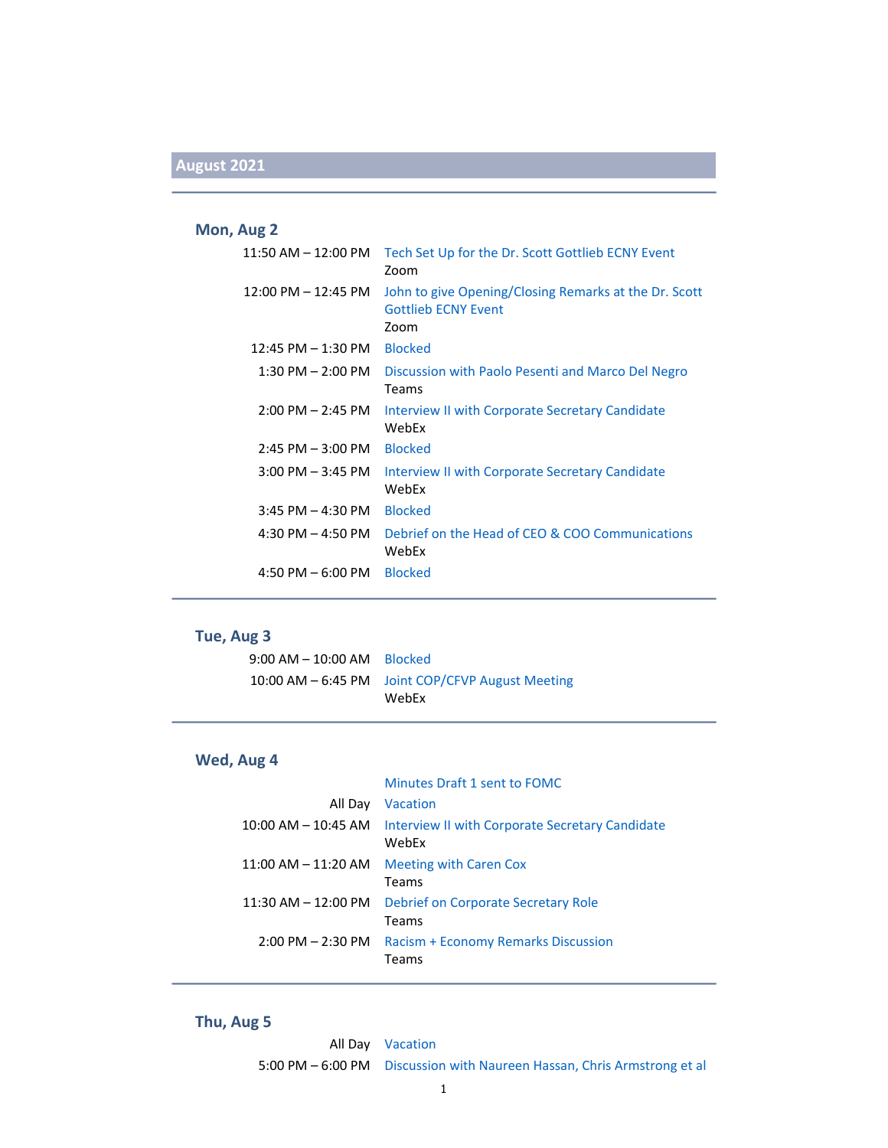#### **Mon, Aug 2**

| $11:50$ AM $-12:00$ PM | Tech Set Up for the Dr. Scott Gottlieb ECNY Event<br>Zoom                                   |
|------------------------|---------------------------------------------------------------------------------------------|
| 12:00 PM - 12:45 PM    | John to give Opening/Closing Remarks at the Dr. Scott<br><b>Gottlieb ECNY Event</b><br>Zoom |
| $12:45$ PM $-1:30$ PM  | <b>Blocked</b>                                                                              |
| $1:30$ PM $- 2:00$ PM  | Discussion with Paolo Pesenti and Marco Del Negro<br>Teams                                  |
| $2:00$ PM $- 2:45$ PM  | Interview II with Corporate Secretary Candidate<br>WebFx                                    |
| $2:45$ PM $-3:00$ PM   | <b>Blocked</b>                                                                              |
| $3:00$ PM $-3:45$ PM   | Interview II with Corporate Secretary Candidate<br>WebEx                                    |
| $3:45$ PM $- 4:30$ PM  | <b>Blocked</b>                                                                              |
| 4:30 PM $-$ 4:50 PM    | Debrief on the Head of CEO & COO Communications<br>WebEx                                    |
| 4:50 PM $-6:00$ PM     | <b>Blocked</b>                                                                              |

#### **Tue, Aug 3**

| $9:00$ AM $-$ 10:00 AM Blocked |                                                  |
|--------------------------------|--------------------------------------------------|
|                                | 10:00 AM - 6:45 PM Joint COP/CFVP August Meeting |
|                                | WebEx                                            |

#### **Wed, Aug 4**

#### Minutes Draft 1 sent to FOMC

| All Day                 | Vacation                                                 |
|-------------------------|----------------------------------------------------------|
| $10:00$ AM $-$ 10:45 AM | Interview II with Corporate Secretary Candidate<br>WebEx |
| $11:00$ AM $-11:20$ AM  | <b>Meeting with Caren Cox</b><br>Teams                   |
| $11:30$ AM $-12:00$ PM  | Debrief on Corporate Secretary Role<br>Teams             |
| $2:00$ PM $- 2:30$ PM   | <b>Racism + Economy Remarks Discussion</b><br>Teams      |

#### **Thu, Aug 5**

All Day Vacation 5:00 PM – 6:00 PM Discussion with Naureen Hassan, Chris Armstrong et al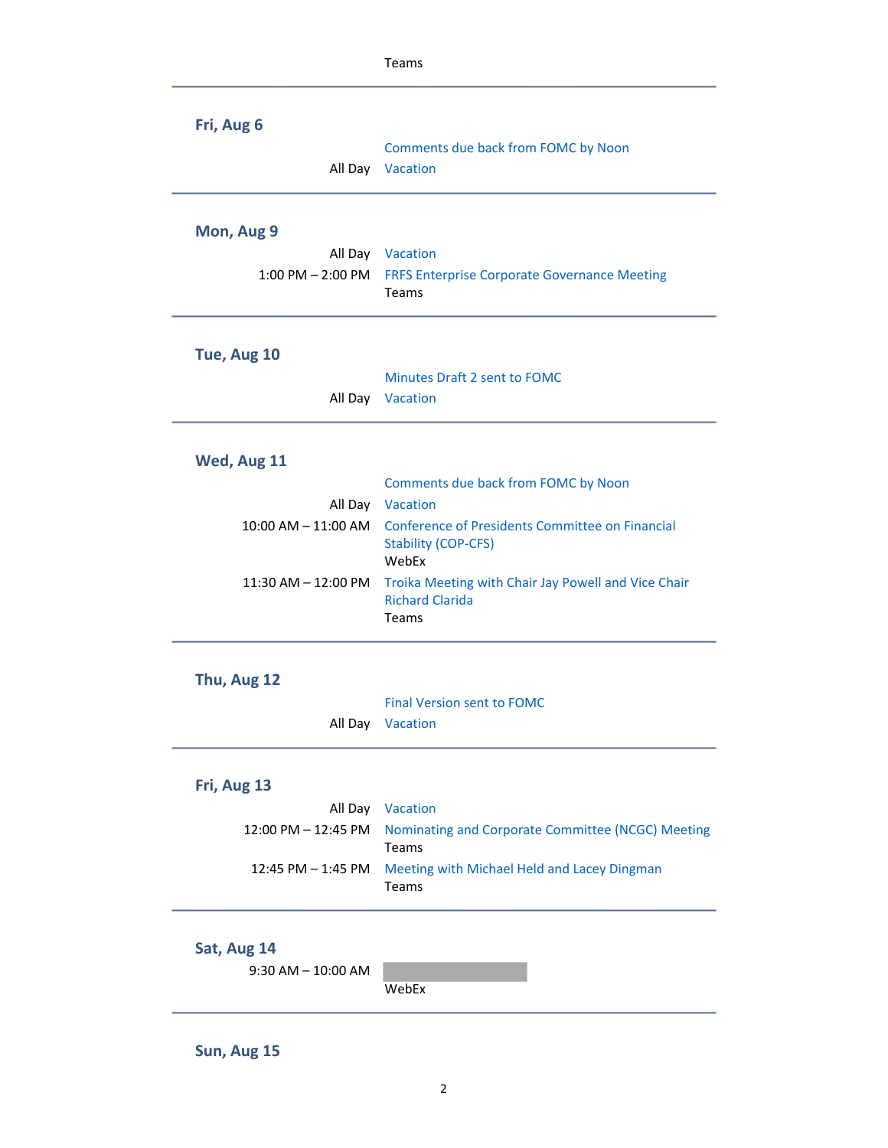|                                | Teams                                                         |
|--------------------------------|---------------------------------------------------------------|
| Fri, Aug 6                     |                                                               |
|                                | Comments due back from FOMC by Noon                           |
| All Day                        | Vacation                                                      |
| Mon, Aug 9                     |                                                               |
|                                | All Day Vacation                                              |
| $1:00$ PM $- 2:00$ PM          | <b>FRFS Enterprise Corporate Governance Meeting</b>           |
|                                | Teams                                                         |
| Tue, Aug 10                    |                                                               |
|                                | <b>Minutes Draft 2 sent to FOMC</b>                           |
|                                | All Day Vacation                                              |
|                                |                                                               |
| Wed, Aug 11                    |                                                               |
|                                | Comments due back from FOMC by Noon                           |
|                                | All Day Vacation                                              |
| $10:00$ AM $ 11:00$ AM         | Conference of Presidents Committee on Financial               |
|                                | <b>Stability (COP-CFS)</b><br>WebEx                           |
| 11:30 AM - 12:00 PM            | Troika Meeting with Chair Jay Powell and Vice Chair           |
|                                | <b>Richard Clarida</b><br>Teams                               |
|                                |                                                               |
| Thu, Aug 12                    |                                                               |
|                                | <b>Final Version sent to FOMC</b>                             |
| All Day                        | Vacation                                                      |
|                                |                                                               |
| Fri, Aug 13                    |                                                               |
| All Day<br>12:00 PM - 12:45 PM | Vacation<br>Nominating and Corporate Committee (NCGC) Meeting |
|                                | Teams                                                         |
| 12:45 PM - 1:45 PM             | Meeting with Michael Held and Lacey Dingman<br>Teams          |
|                                |                                                               |
| Sat, Aug 14                    |                                                               |
| $9:30$ AM $- 10:00$ AM         |                                                               |
|                                | WebEx                                                         |
|                                |                                                               |

**Sun, Aug 15**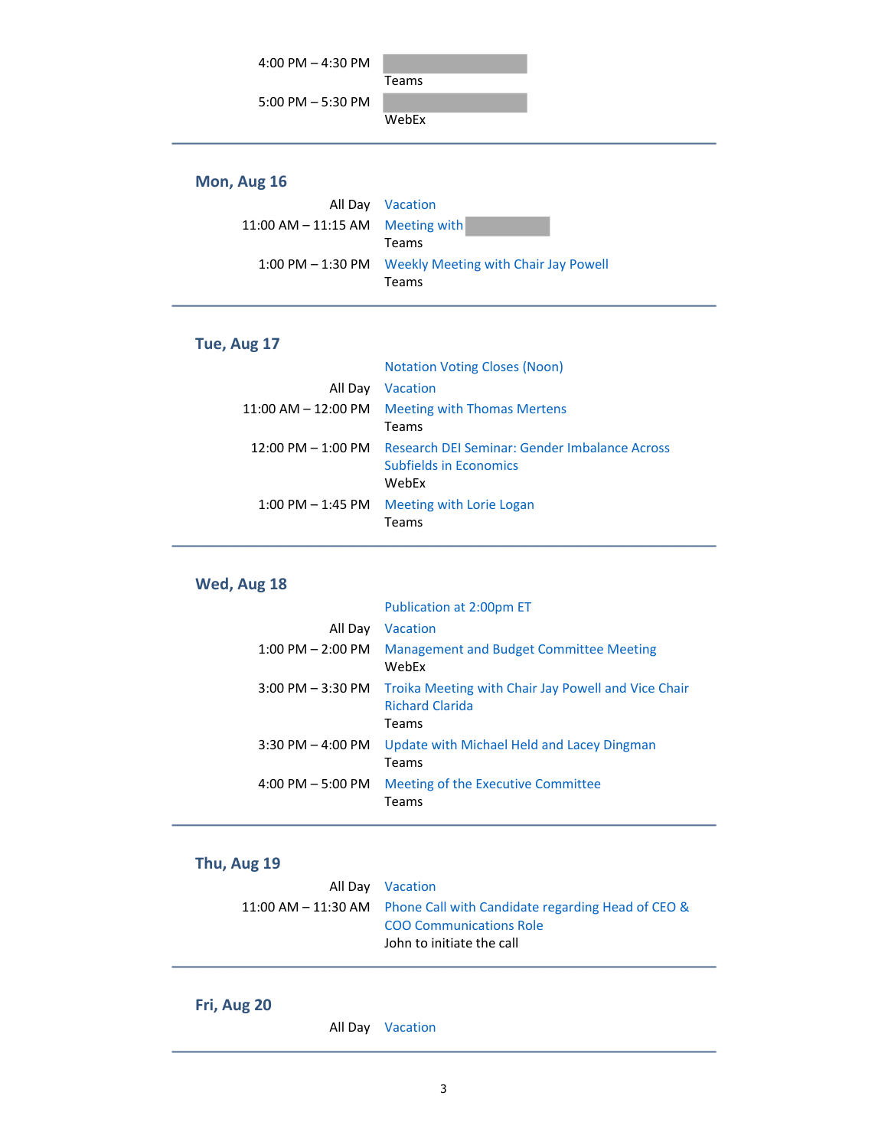

#### **Mon, Aug 16**

|                                    | All Day Vacation                                       |
|------------------------------------|--------------------------------------------------------|
| 11:00 AM $-$ 11:15 AM Meeting with |                                                        |
|                                    | Teams                                                  |
|                                    | 1:00 PM – 1:30 PM Weekly Meeting with Chair Jay Powell |
|                                    | Teams                                                  |

#### **Tue, Aug 17**

|                         | <b>Notation Voting Closes (Noon)</b>                                             |
|-------------------------|----------------------------------------------------------------------------------|
| All Day                 | Vacation                                                                         |
| $11:00$ AM $-$ 12:00 PM | Meeting with Thomas Mertens                                                      |
|                         | Teams                                                                            |
| 12:00 PM – 1:00 PM      | Research DEI Seminar: Gender Imbalance Across<br>Subfields in Economics<br>WebEx |
| $1:00$ PM $-$ 1:45 PM   | Meeting with Lorie Logan<br>Teams                                                |

### **Wed, Aug 18**

|                       | Publication at 2:00pm ET                                                               |
|-----------------------|----------------------------------------------------------------------------------------|
| All Day               | Vacation                                                                               |
| $1:00$ PM $- 2:00$ PM | Management and Budget Committee Meeting<br>WebFx                                       |
| $3:00$ PM $-3:30$ PM  | Troika Meeting with Chair Jay Powell and Vice Chair<br><b>Richard Clarida</b><br>Teams |
| $3:30$ PM $-$ 4:00 PM | Update with Michael Held and Lacey Dingman<br>Teams                                    |
| $4:00$ PM $-5:00$ PM  | Meeting of the Executive Committee<br>Teams                                            |

### **Thu, Aug 19**

| All Day Vacation                                                        |
|-------------------------------------------------------------------------|
| 11:00 AM $-$ 11:30 AM Phone Call with Candidate regarding Head of CEO & |
| <b>COO Communications Role</b>                                          |
| John to initiate the call                                               |
|                                                                         |

#### **Fri, Aug 20**

All Day Vacation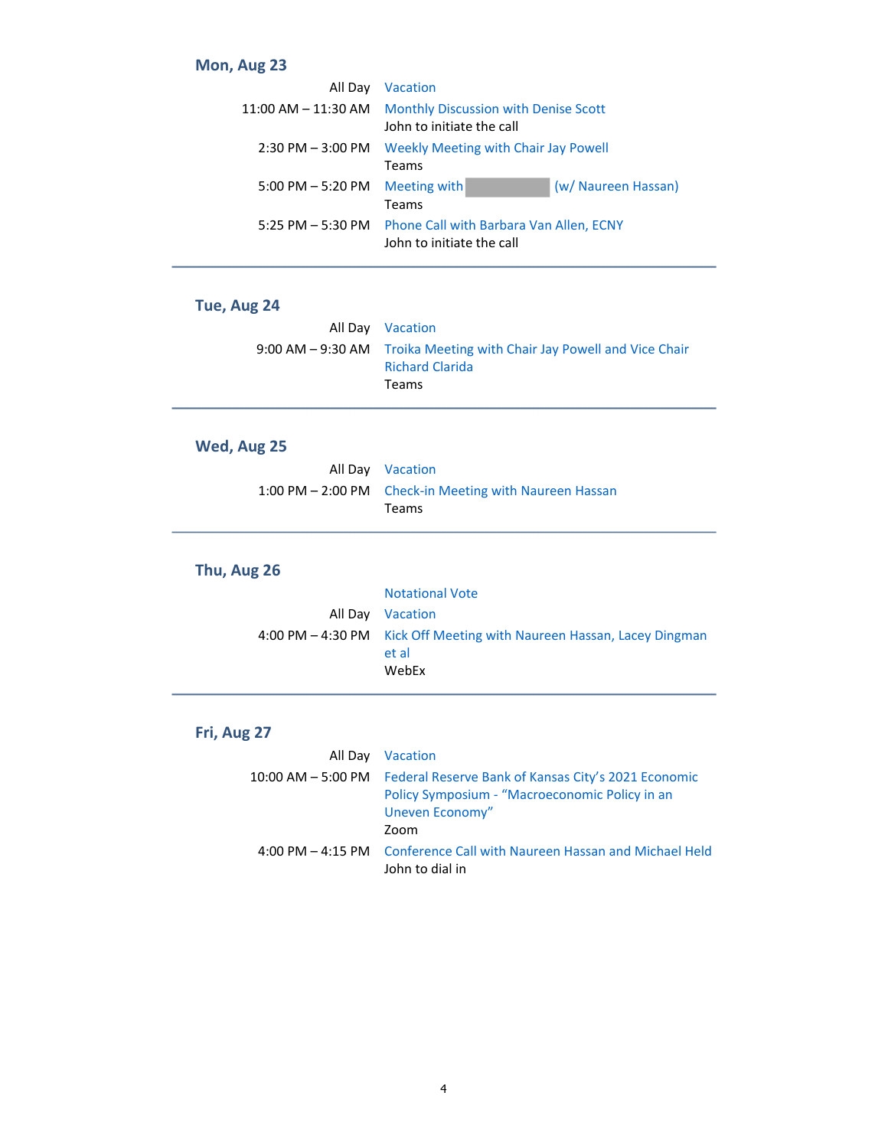#### **Mon, Aug 23**

| All Day                | <b>Vacation</b>                                                          |                     |
|------------------------|--------------------------------------------------------------------------|---------------------|
| $11:00$ AM $-11:30$ AM | <b>Monthly Discussion with Denise Scott</b><br>John to initiate the call |                     |
| $2:30$ PM $-3:00$ PM   | <b>Weekly Meeting with Chair Jay Powell</b><br>Teams                     |                     |
| $5:00$ PM $-5:20$ PM   | Meeting with<br>Teams                                                    | (w/ Naureen Hassan) |
| 5:25 PM $-$ 5:30 PM    | Phone Call with Barbara Van Allen, ECNY<br>John to initiate the call     |                     |

### **Tue, Aug 24**

| All Day Vacation                                                                                |
|-------------------------------------------------------------------------------------------------|
| 9:00 AM – 9:30 AM Troika Meeting with Chair Jay Powell and Vice Chair<br><b>Richard Clarida</b> |
| <b>Teams</b>                                                                                    |

### **Wed, Aug 25**

| All Day Vacation                                                       |
|------------------------------------------------------------------------|
| 1:00 PM – 2:00 PM Check-in Meeting with Naureen Hassan<br><b>Teams</b> |
|                                                                        |

### **Thu, Aug 26**

| <b>Notational Vote</b>                                                                  |
|-----------------------------------------------------------------------------------------|
| All Day Vacation                                                                        |
| 4:00 PM - 4:30 PM Kick Off Meeting with Naureen Hassan, Lacey Dingman<br>et al<br>WebEx |

#### **Fri, Aug 27**

| All Day                | Vacation                                                                                                                         |
|------------------------|----------------------------------------------------------------------------------------------------------------------------------|
| $10:00$ AM $-$ 5:00 PM | Federal Reserve Bank of Kansas City's 2021 Economic<br>Policy Symposium - "Macroeconomic Policy in an<br>Uneven Economy"<br>Zoom |
|                        | 4:00 PM – 4:15 PM Conference Call with Naureen Hassan and Michael Held<br>John to dial in                                        |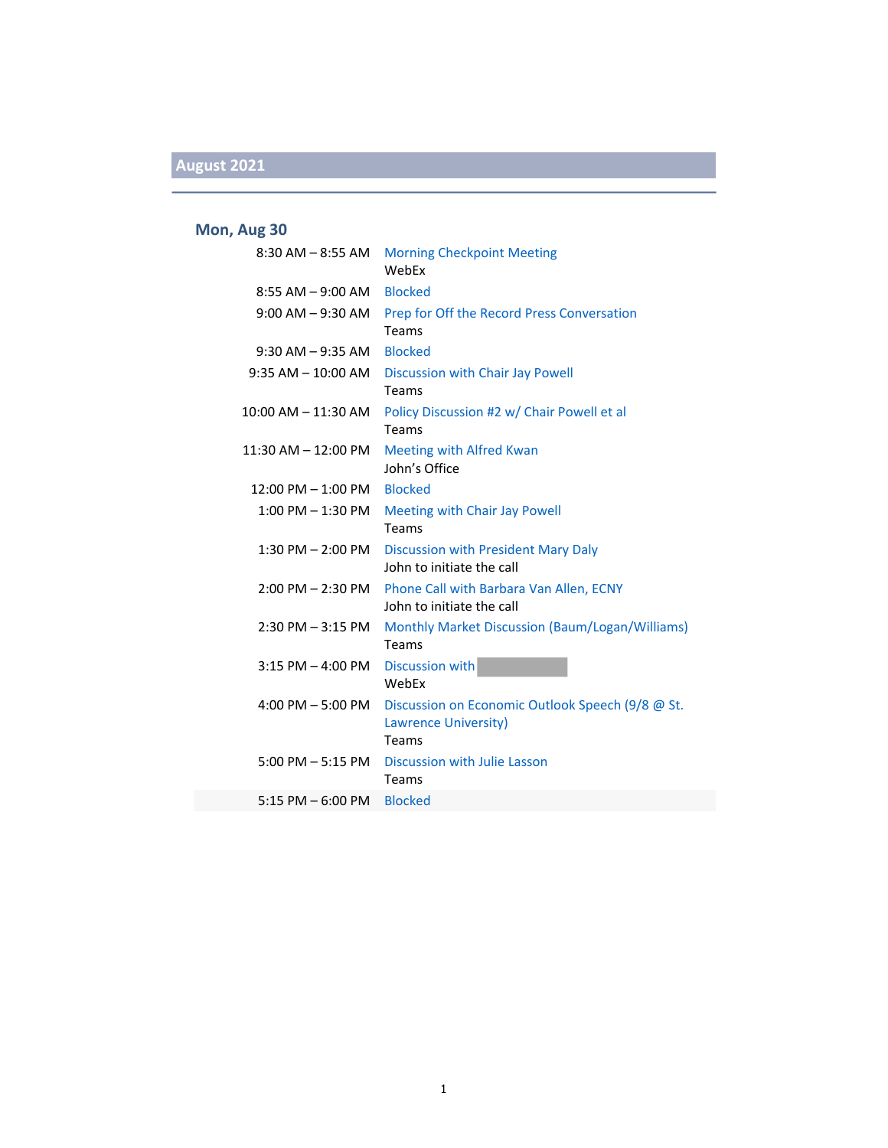## **August 2021**

#### **Mon, Aug 30**

| $8:30$ AM $ 8:55$ AM   | <b>Morning Checkpoint Meeting</b><br>WebFx                                             |
|------------------------|----------------------------------------------------------------------------------------|
| $8:55$ AM $-9:00$ AM   | <b>Blocked</b>                                                                         |
| $9:00$ AM $-9:30$ AM   | Prep for Off the Record Press Conversation<br>Teams                                    |
| $9:30$ AM $-9:35$ AM   | <b>Blocked</b>                                                                         |
| $9:35$ AM $-$ 10:00 AM | Discussion with Chair Jay Powell<br>Teams                                              |
| 10:00 AM - 11:30 AM    | Policy Discussion #2 w/ Chair Powell et al<br>Teams                                    |
| $11:30$ AM $-12:00$ PM | <b>Meeting with Alfred Kwan</b><br>John's Office                                       |
| $12:00$ PM $- 1:00$ PM | <b>Blocked</b>                                                                         |
| 1:00 PM - 1:30 PM      | Meeting with Chair Jay Powell<br>Teams                                                 |
|                        | 1:30 PM - 2:00 PM Discussion with President Mary Daly<br>John to initiate the call     |
|                        | 2:00 PM - 2:30 PM Phone Call with Barbara Van Allen, ECNY<br>John to initiate the call |
| $2:30$ PM $-3:15$ PM   | Monthly Market Discussion (Baum/Logan/Williams)<br>Teams                               |
| $3:15$ PM $-$ 4:00 PM  | <b>Discussion with</b><br>WebEx                                                        |
| 4:00 PM $-$ 5:00 PM    | Discussion on Economic Outlook Speech (9/8 @ St.<br>Lawrence University)<br>Teams      |
| $5:00$ PM $-5:15$ PM   | Discussion with Julie Lasson<br>Teams                                                  |
| $5:15$ PM $-6:00$ PM   | <b>Blocked</b>                                                                         |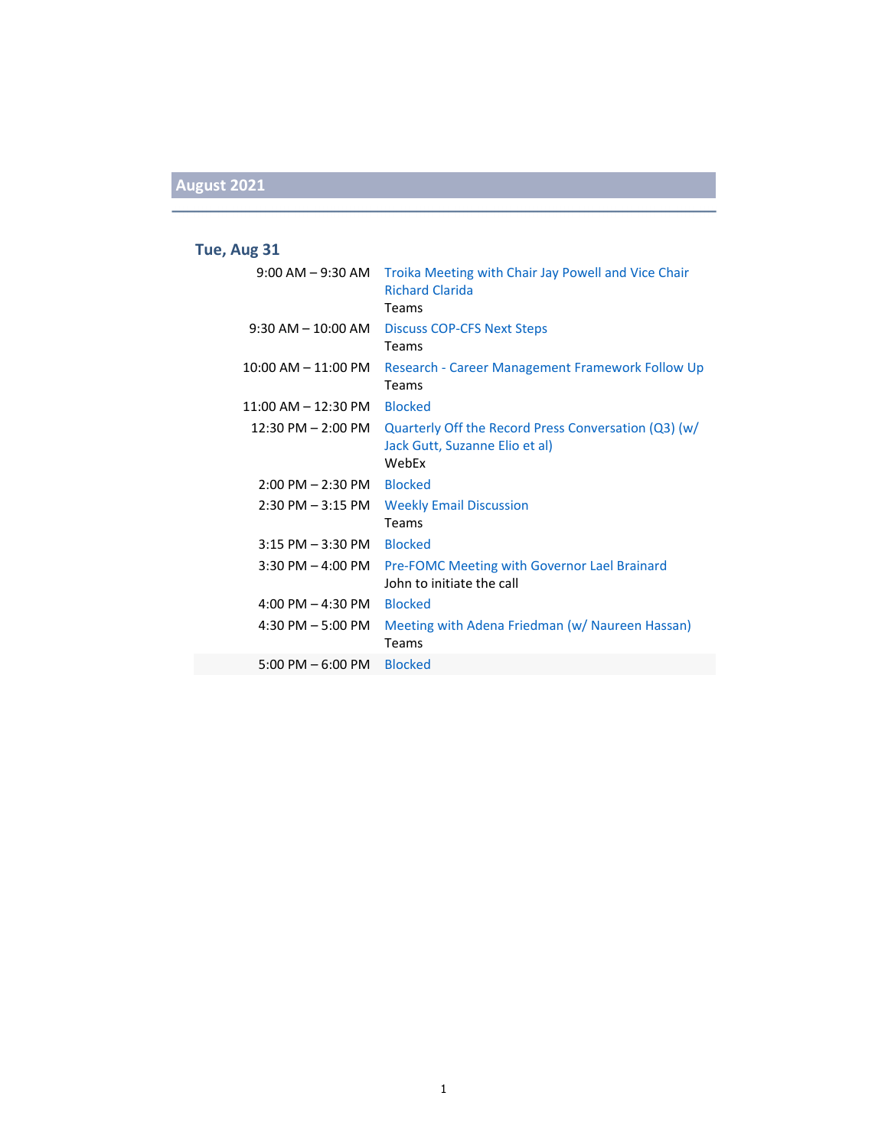## **August 2021**

### **Tue, Aug 31**

|                         | 9:00 AM – 9:30 AM Troika Meeting with Chair Jay Powell and Vice Chair<br><b>Richard Clarida</b> |
|-------------------------|-------------------------------------------------------------------------------------------------|
|                         | Teams                                                                                           |
| $9:30$ AM $-10:00$ AM   | Discuss COP-CFS Next Steps                                                                      |
|                         | Teams                                                                                           |
| $10:00$ AM $- 11:00$ PM | Research - Career Management Framework Follow Up                                                |
|                         | Teams                                                                                           |
| $11:00$ AM $- 12:30$ PM | <b>Blocked</b>                                                                                  |
| $12:30$ PM $- 2:00$ PM  | Quarterly Off the Record Press Conversation (Q3) (w/<br>Jack Gutt, Suzanne Elio et al)<br>WebFx |
| $2:00$ PM $- 2:30$ PM   | <b>Blocked</b>                                                                                  |
| $2:30$ PM $-3:15$ PM    | <b>Weekly Email Discussion</b>                                                                  |
|                         | Teams                                                                                           |
| $3:15$ PM $-3:30$ PM    | <b>Blocked</b>                                                                                  |
| $3:30$ PM $-$ 4:00 PM   | <b>Pre-FOMC Meeting with Governor Lael Brainard</b>                                             |
|                         | John to initiate the call                                                                       |
| 4:00 PM $-$ 4:30 PM     | <b>Blocked</b>                                                                                  |
| $4:30$ PM $-5:00$ PM    | Meeting with Adena Friedman (w/ Naureen Hassan)<br>Teams                                        |
| $5:00$ PM $-6:00$ PM    | <b>Blocked</b>                                                                                  |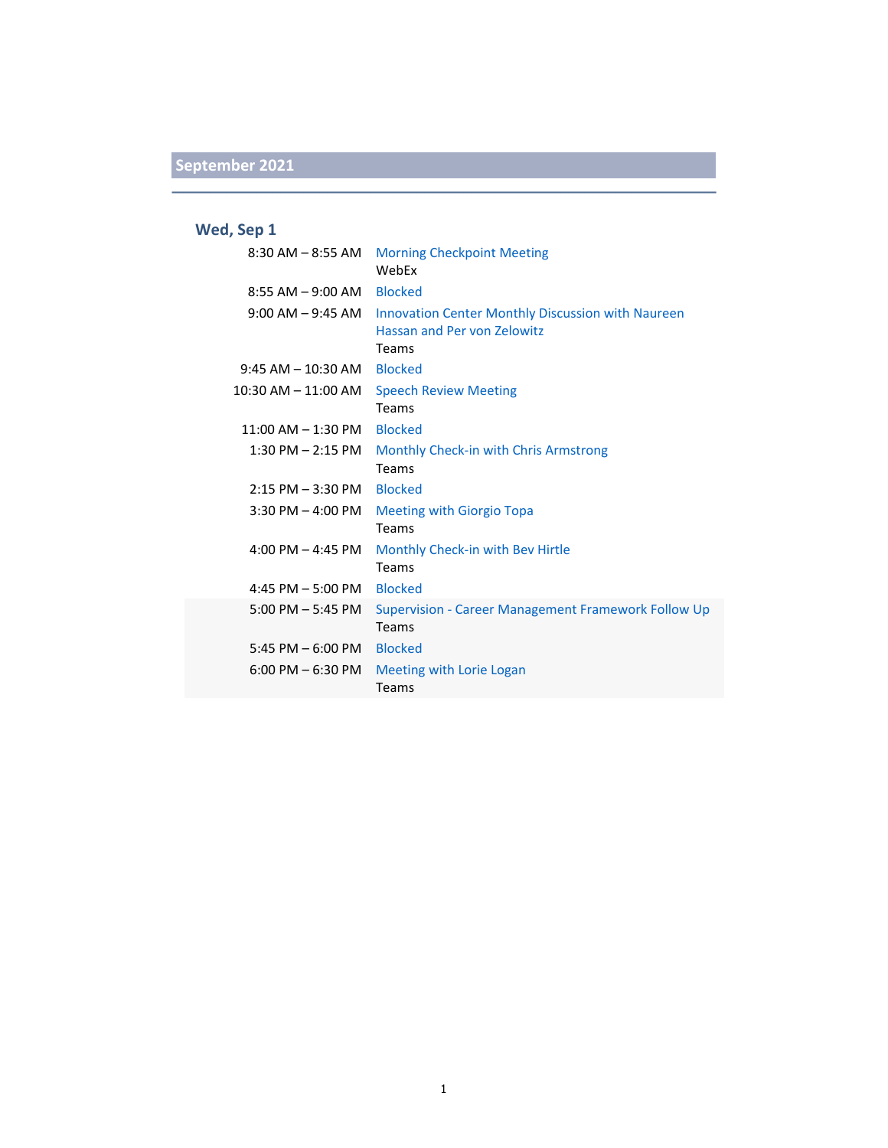### **Wed, Sep 1**

| 8:30 AM – 8:55 AM       | <b>Morning Checkpoint Meeting</b><br>WebEx                                                       |
|-------------------------|--------------------------------------------------------------------------------------------------|
| $8:55$ AM $-9:00$ AM    | <b>Blocked</b>                                                                                   |
| $9:00$ AM $-9:45$ AM    | <b>Innovation Center Monthly Discussion with Naureen</b><br>Hassan and Per von Zelowitz<br>Teams |
| $9:45$ AM $-$ 10:30 AM  | <b>Blocked</b>                                                                                   |
| $10:30$ AM $- 11:00$ AM | <b>Speech Review Meeting</b><br>Teams                                                            |
| $11:00$ AM $- 1:30$ PM  | <b>Blocked</b>                                                                                   |
| $1:30$ PM $- 2:15$ PM   | Monthly Check-in with Chris Armstrong<br>Teams                                                   |
| $2:15$ PM $-3:30$ PM    | <b>Blocked</b>                                                                                   |
| $3:30$ PM $-$ 4:00 PM   | <b>Meeting with Giorgio Topa</b><br>Teams                                                        |
| 4:00 PM $-$ 4:45 PM     | Monthly Check-in with Bev Hirtle<br>Teams                                                        |
| 4:45 PM $-5:00$ PM      | <b>Blocked</b>                                                                                   |
| $5:00$ PM $-5:45$ PM    | <b>Supervision - Career Management Framework Follow Up</b><br>Teams                              |
| 5:45 PM $-6:00$ PM      | <b>Blocked</b>                                                                                   |
| $6:00$ PM $-6:30$ PM    | Meeting with Lorie Logan<br>Teams                                                                |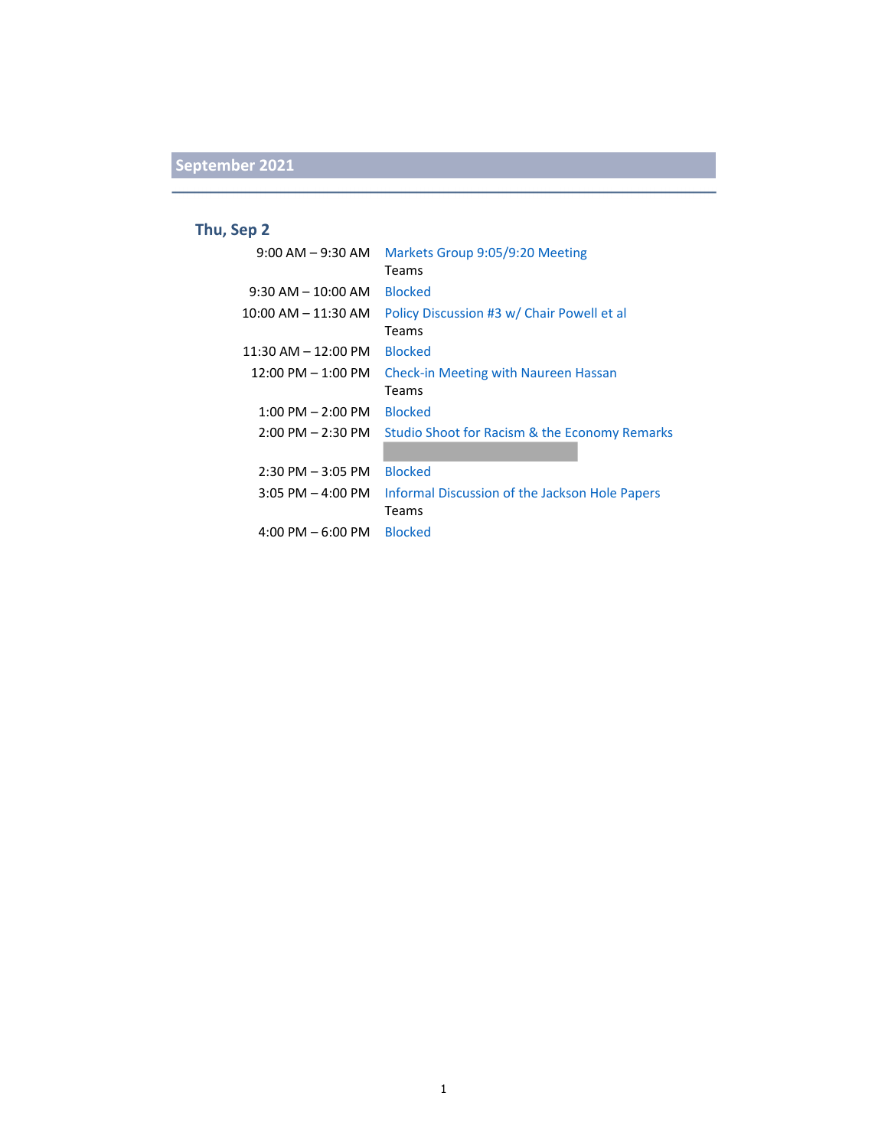### **Thu, Sep 2**

| $9:00$ AM $-9:30$ AM    | Markets Group 9:05/9:20 Meeting                |
|-------------------------|------------------------------------------------|
|                         | Teams                                          |
| $9:30$ AM $- 10:00$ AM  | <b>Blocked</b>                                 |
| $10:00$ AM $- 11:30$ AM | Policy Discussion #3 w/ Chair Powell et al     |
|                         | Teams                                          |
| $11:30$ AM $- 12:00$ PM | <b>Blocked</b>                                 |
| $12:00$ PM $- 1:00$ PM  | <b>Check-in Meeting with Naureen Hassan</b>    |
|                         | Teams                                          |
| $1:00$ PM $- 2:00$ PM   | <b>Blocked</b>                                 |
| $2:00$ PM $- 2:30$ PM   | Studio Shoot for Racism & the Economy Remarks  |
|                         |                                                |
| $2:30$ PM $-3:05$ PM    | <b>Blocked</b>                                 |
| $3:05$ PM $-$ 4:00 PM   | Informal Discussion of the Jackson Hole Papers |
|                         | Teams                                          |
| $4:00$ PM $-6:00$ PM    | <b>Blocked</b>                                 |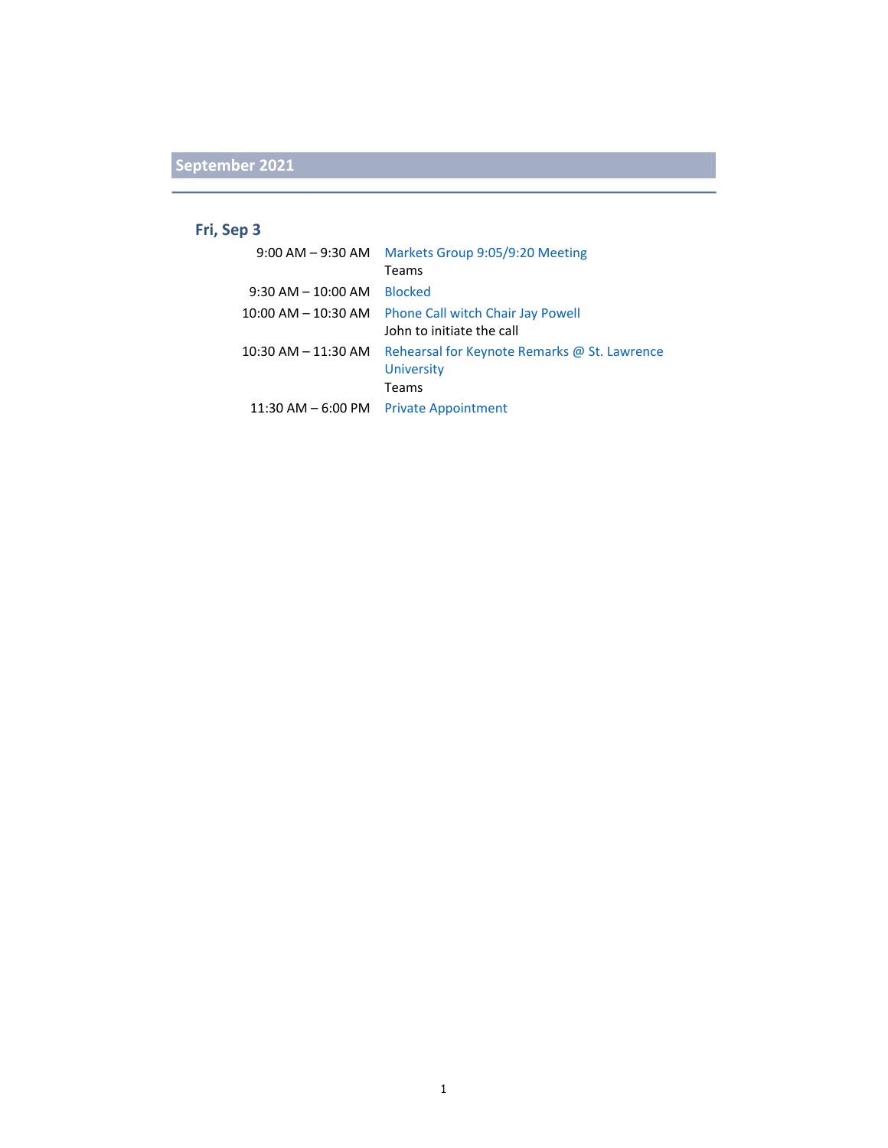#### **Fri, Sep 3**

|                         | 9:00 AM - 9:30 AM    Markets Group 9:05/9:20 Meeting |
|-------------------------|------------------------------------------------------|
|                         | Teams                                                |
| $9:30$ AM $- 10:00$ AM  | <b>Blocked</b>                                       |
| $10:00$ AM $ 10:30$ AM  | <b>Phone Call witch Chair Jay Powell</b>             |
|                         | John to initiate the call                            |
| $10:30$ AM $- 11:30$ AM | Rehearsal for Keynote Remarks @ St. Lawrence         |
|                         | <b>University</b>                                    |
|                         | Teams                                                |
|                         | 11:30 AM - 6:00 PM Private Appointment               |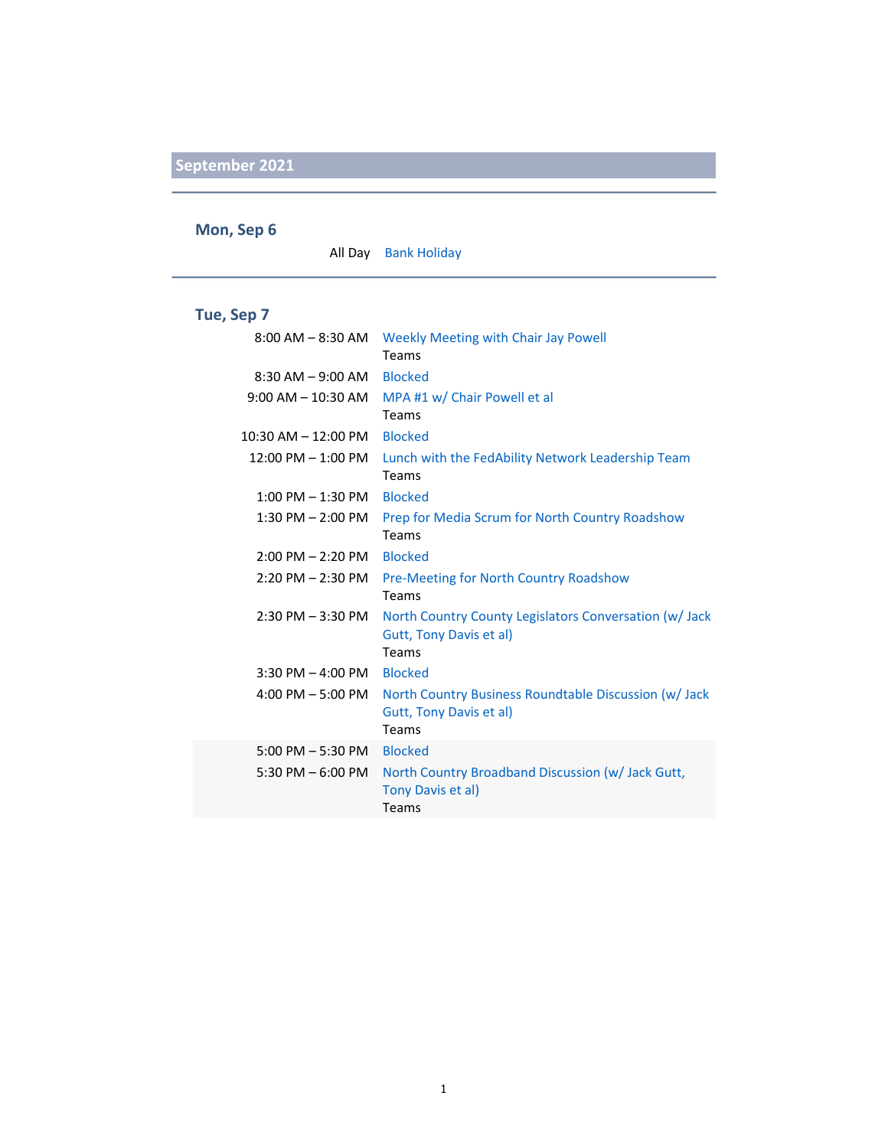#### **Mon, Sep 6**

All Day Bank Holiday

#### **Tue, Sep 7**

| $8:00$ AM $-$ 8:30 AM   | Weekly Meeting with Chair Jay Powell<br>Teams                                              |
|-------------------------|--------------------------------------------------------------------------------------------|
| $8:30$ AM $-9:00$ AM    | <b>Blocked</b>                                                                             |
| $9:00$ AM $-$ 10:30 AM  | MPA #1 w/ Chair Powell et al<br>Teams                                                      |
| $10:30$ AM $- 12:00$ PM | <b>Blocked</b>                                                                             |
| $12:00$ PM $-1:00$ PM   | Lunch with the FedAbility Network Leadership Team<br>Teams                                 |
| $1:00$ PM $-1:30$ PM    | <b>Blocked</b>                                                                             |
| $1:30$ PM $- 2:00$ PM   | Prep for Media Scrum for North Country Roadshow<br>Teams                                   |
| $2:00$ PM $- 2:20$ PM   | <b>Blocked</b>                                                                             |
| $2:20$ PM $- 2:30$ PM   | Pre-Meeting for North Country Roadshow<br>Teams                                            |
| $2:30$ PM $-3:30$ PM    | North Country County Legislators Conversation (w/ Jack<br>Gutt, Tony Davis et al)<br>Teams |
| $3:30$ PM $-$ 4:00 PM   | <b>Blocked</b>                                                                             |
| 4:00 PM $-$ 5:00 PM     | North Country Business Roundtable Discussion (w/ Jack<br>Gutt, Tony Davis et al)<br>Teams  |
| $5:00$ PM $-5:30$ PM    | <b>Blocked</b>                                                                             |
| $5:30$ PM $-6:00$ PM    | North Country Broadband Discussion (w/ Jack Gutt,<br>Tony Davis et al)<br>Teams            |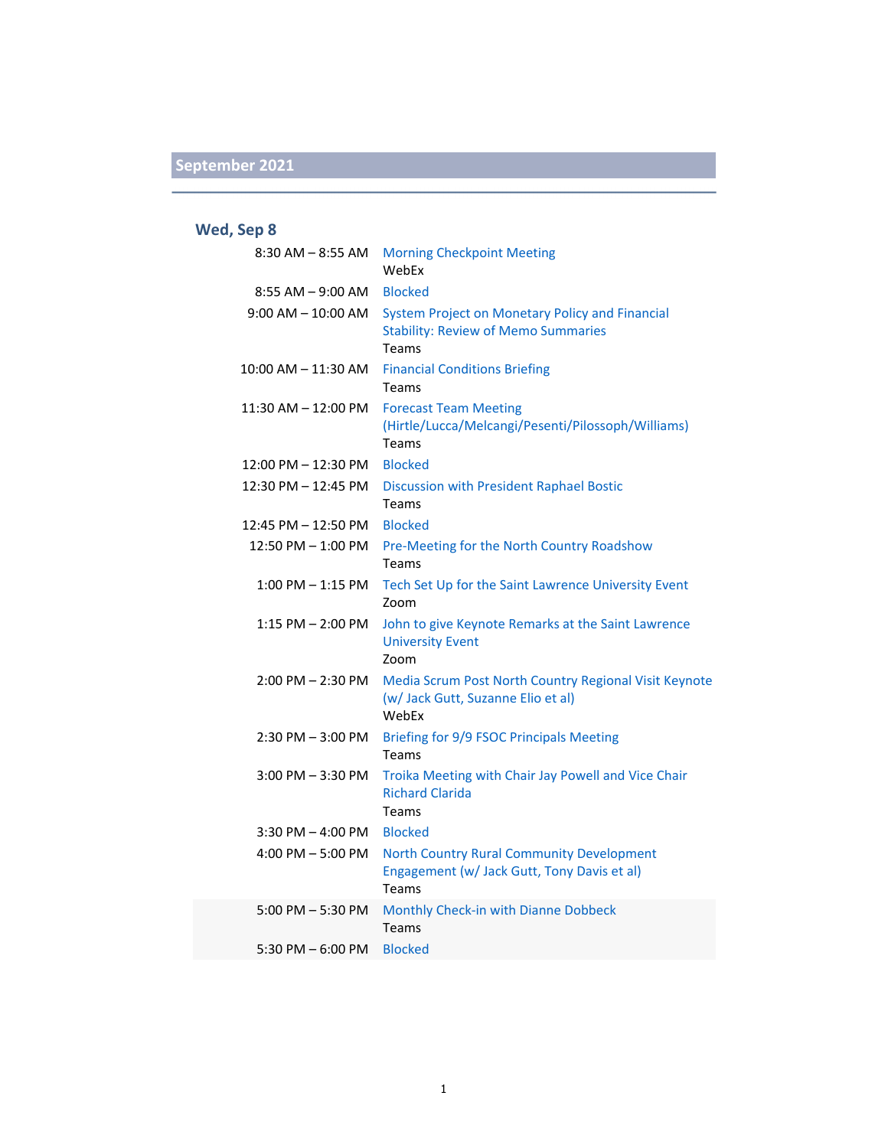### **Wed, Sep 8**

| $8:30$ AM $-8:55$ AM   | <b>Morning Checkpoint Meeting</b><br>WebEx                                                               |
|------------------------|----------------------------------------------------------------------------------------------------------|
| $8:55$ AM $-9:00$ AM   | <b>Blocked</b>                                                                                           |
| $9:00$ AM $-$ 10:00 AM | System Project on Monetary Policy and Financial<br><b>Stability: Review of Memo Summaries</b><br>Teams   |
| 10:00 AM - 11:30 AM    | <b>Financial Conditions Briefing</b><br>Teams                                                            |
| 11:30 AM - 12:00 PM    | <b>Forecast Team Meeting</b><br>(Hirtle/Lucca/Melcangi/Pesenti/Pilossoph/Williams)<br>Teams              |
| 12:00 PM - 12:30 PM    | <b>Blocked</b>                                                                                           |
| 12:30 PM - 12:45 PM    | Discussion with President Raphael Bostic<br>Teams                                                        |
| 12:45 PM - 12:50 PM    | <b>Blocked</b>                                                                                           |
| 12:50 PM - 1:00 PM     | Pre-Meeting for the North Country Roadshow<br><b>Teams</b>                                               |
| $1:00$ PM $-1:15$ PM   | Tech Set Up for the Saint Lawrence University Event<br>Zoom                                              |
| $1:15$ PM $- 2:00$ PM  | John to give Keynote Remarks at the Saint Lawrence<br><b>University Event</b><br>Zoom                    |
| $2:00$ PM $- 2:30$ PM  | Media Scrum Post North Country Regional Visit Keynote<br>(w/ Jack Gutt, Suzanne Elio et al)<br>WebEx     |
| $2:30$ PM $-3:00$ PM   | <b>Briefing for 9/9 FSOC Principals Meeting</b><br>Teams                                                 |
| $3:00$ PM $-3:30$ PM   | Troika Meeting with Chair Jay Powell and Vice Chair<br><b>Richard Clarida</b><br>Teams                   |
| $3:30$ PM $-$ 4:00 PM  | <b>Blocked</b>                                                                                           |
| $4:00$ PM $-5:00$ PM   | <b>North Country Rural Community Development</b><br>Engagement (w/ Jack Gutt, Tony Davis et al)<br>Teams |
| $5:00$ PM $-5:30$ PM   | Monthly Check-in with Dianne Dobbeck<br>Teams                                                            |
| 5:30 PM $-$ 6:00 PM    | <b>Blocked</b>                                                                                           |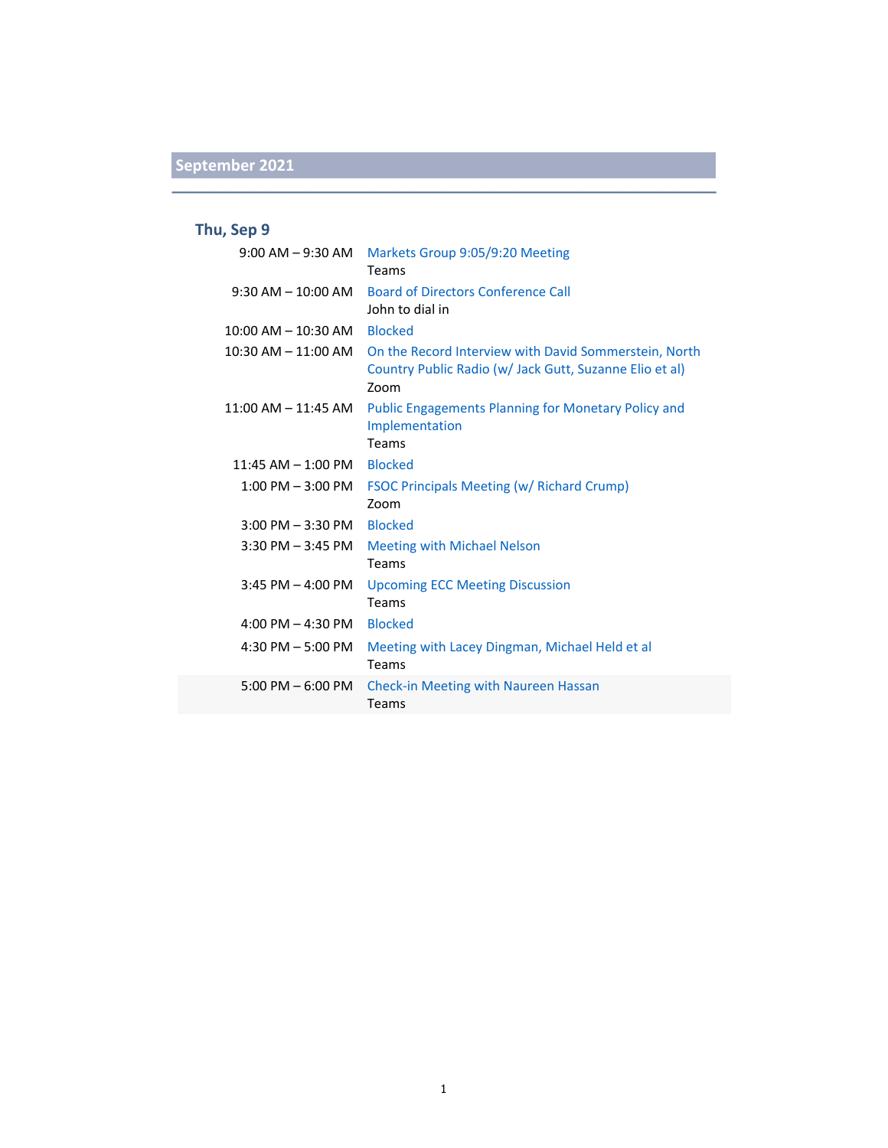### **Thu, Sep 9**

| $9:00$ AM $-9:30$ AM    | Markets Group 9:05/9:20 Meeting<br>Teams                                                                                 |
|-------------------------|--------------------------------------------------------------------------------------------------------------------------|
| $9:30$ AM $- 10:00$ AM  | <b>Board of Directors Conference Call</b><br>John to dial in                                                             |
| $10:00$ AM $- 10:30$ AM | <b>Blocked</b>                                                                                                           |
| $10:30$ AM $- 11:00$ AM | On the Record Interview with David Sommerstein, North<br>Country Public Radio (w/ Jack Gutt, Suzanne Elio et al)<br>Zoom |
| $11:00$ AM $- 11:45$ AM | <b>Public Engagements Planning for Monetary Policy and</b><br>Implementation<br>Teams                                    |
| $11:45$ AM $- 1:00$ PM  | <b>Blocked</b>                                                                                                           |
| $1:00$ PM $-3:00$ PM    | <b>FSOC Principals Meeting (w/ Richard Crump)</b><br>Zoom                                                                |
| $3:00$ PM $-3:30$ PM    | <b>Blocked</b>                                                                                                           |
| $3:30$ PM $-3:45$ PM    | <b>Meeting with Michael Nelson</b><br>Teams                                                                              |
| $3:45$ PM $- 4:00$ PM   | <b>Upcoming ECC Meeting Discussion</b><br>Teams                                                                          |
| 4:00 PM $-$ 4:30 PM     | <b>Blocked</b>                                                                                                           |
| 4:30 PM $-$ 5:00 PM     | Meeting with Lacey Dingman, Michael Held et al<br>Teams                                                                  |
| $5:00$ PM $-6:00$ PM    | <b>Check-in Meeting with Naureen Hassan</b><br>Teams                                                                     |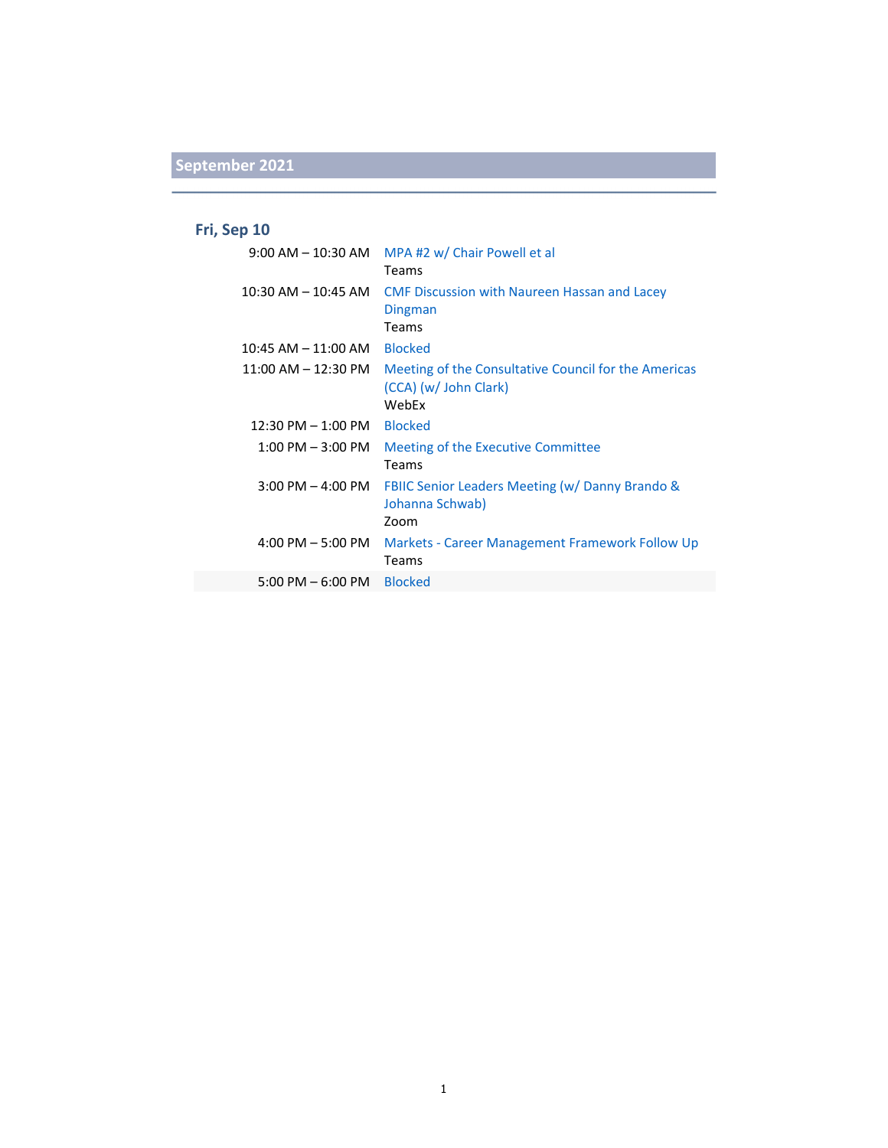### **Fri, Sep 10**

| $9:00$ AM $-$ 10:30 AM  | MPA #2 w/ Chair Powell et al<br>Teams                                                  |
|-------------------------|----------------------------------------------------------------------------------------|
| $10:30$ AM $-$ 10:45 AM | <b>CMF Discussion with Naureen Hassan and Lacey</b><br>Dingman<br>Teams                |
| $10:45$ AM $- 11:00$ AM | <b>Blocked</b>                                                                         |
| 11:00 AM – 12:30 PM     | Meeting of the Consultative Council for the Americas<br>(CCA) (w/ John Clark)<br>WebEx |
| $12:30$ PM $-1:00$ PM   | <b>Blocked</b>                                                                         |
|                         |                                                                                        |
| $1:00$ PM $-3:00$ PM    | Meeting of the Executive Committee<br>Teams                                            |
| $3:00$ PM $-$ 4:00 PM   | FBIIC Senior Leaders Meeting (w/ Danny Brando &<br>Johanna Schwab)<br>Zoom             |
| $4:00$ PM $-5:00$ PM    | Markets - Career Management Framework Follow Up<br>Teams                               |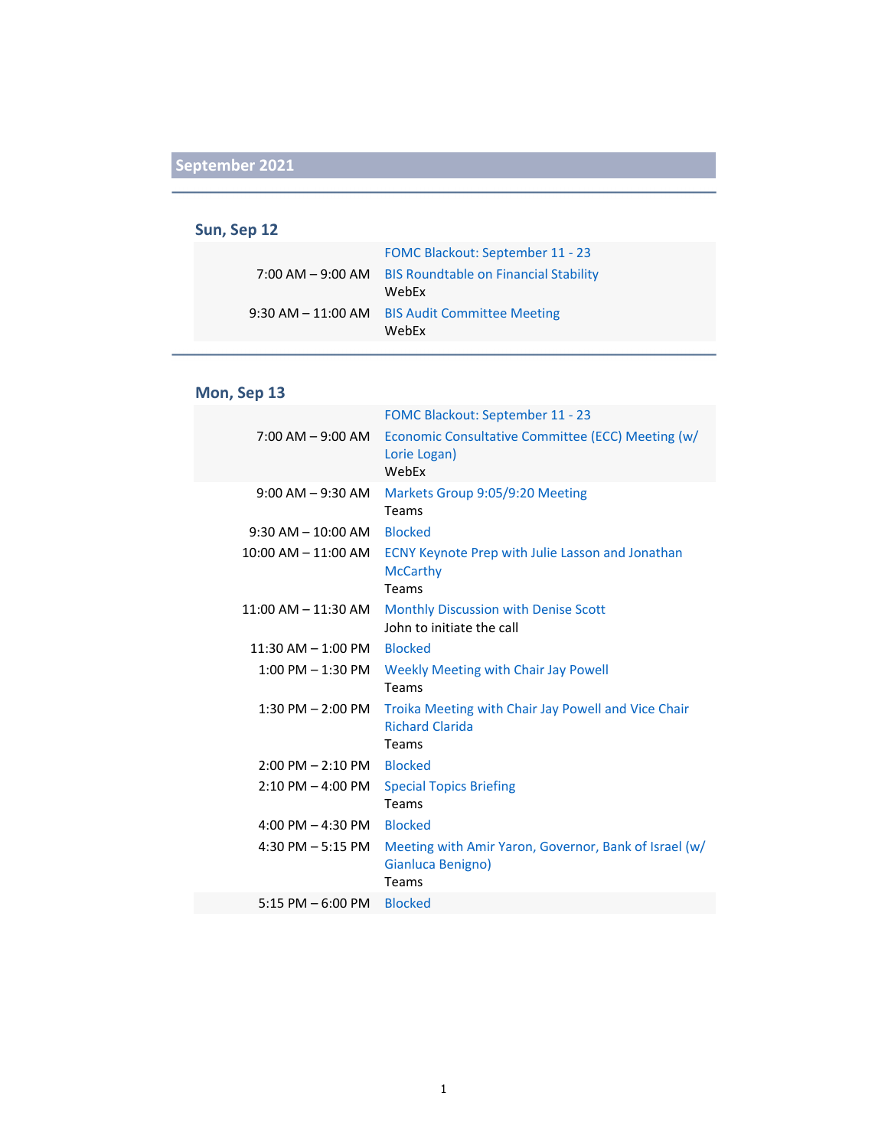#### **Sun, Sep 12**

| <b>FOMC Blackout: September 11 - 23</b>                 |
|---------------------------------------------------------|
| 7:00 AM - 9:00 AM BIS Roundtable on Financial Stability |
| WebEx                                                   |
| 9:30 AM - 11:00 AM BIS Audit Committee Meeting          |
| WebEx                                                   |

#### **Mon, Sep 13**

|                         | FOMC Blackout: September 11 - 23                                                       |
|-------------------------|----------------------------------------------------------------------------------------|
| $7:00$ AM $-9:00$ AM    | Economic Consultative Committee (ECC) Meeting (w/<br>Lorie Logan)<br>WebEx             |
| $9:00$ AM $-9:30$ AM    | Markets Group 9:05/9:20 Meeting<br>Teams                                               |
| $9:30$ AM $- 10:00$ AM  | <b>Blocked</b>                                                                         |
| $10:00$ AM $- 11:00$ AM | <b>ECNY Keynote Prep with Julie Lasson and Jonathan</b><br><b>McCarthy</b><br>Teams    |
| $11:00$ AM $- 11:30$ AM | Monthly Discussion with Denise Scott<br>John to initiate the call                      |
| $11:30$ AM $- 1:00$ PM  | <b>Blocked</b>                                                                         |
| $1:00$ PM $-1:30$ PM    | <b>Weekly Meeting with Chair Jay Powell</b><br>Teams                                   |
| $1:30$ PM $- 2:00$ PM   | Troika Meeting with Chair Jay Powell and Vice Chair<br><b>Richard Clarida</b><br>Teams |
| $2:00$ PM $- 2:10$ PM   | <b>Blocked</b>                                                                         |
| $2:10$ PM $-$ 4:00 PM   | <b>Special Topics Briefing</b><br>Teams                                                |
| 4:00 PM $-$ 4:30 PM     | <b>Blocked</b>                                                                         |
| 4:30 PM $-5:15$ PM      | Meeting with Amir Yaron, Governor, Bank of Israel (w/<br>Gianluca Benigno)<br>Teams    |
| $5:15$ PM $-6:00$ PM    | <b>Blocked</b>                                                                         |
|                         |                                                                                        |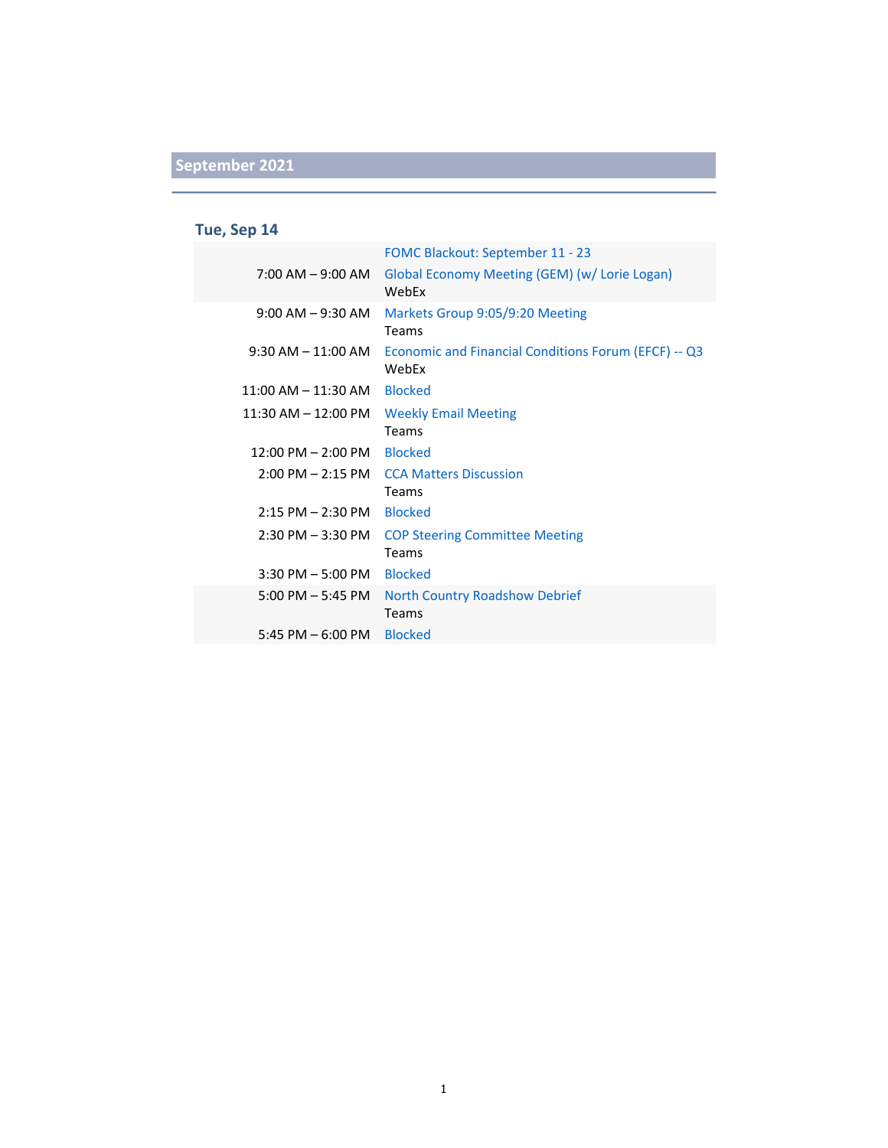### **Tue, Sep 14**

|                                      | FOMC Blackout: September 11 - 23                              |
|--------------------------------------|---------------------------------------------------------------|
| $7:00$ AM $-9:00$ AM                 | Global Economy Meeting (GEM) (w/ Lorie Logan)<br>WebFx        |
| $9:00$ AM $-9:30$ AM                 | Markets Group 9:05/9:20 Meeting<br><b>Teams</b>               |
| $9:30$ AM $-11:00$ AM                | Economic and Financial Conditions Forum (EFCF) -- Q3<br>WebEx |
| $11:00$ AM $-11:30$ AM               | <b>Blocked</b>                                                |
| $11:30$ AM $-12:00$ PM               | <b>Weekly Email Meeting</b><br>Teams                          |
| $12:00 \text{ PM} - 2:00 \text{ PM}$ | <b>Blocked</b>                                                |
| $2:00 \text{ PM} - 2:15 \text{ PM}$  | <b>CCA Matters Discussion</b><br>Teams                        |
| $2:15$ PM $- 2:30$ PM                | <b>Blocked</b>                                                |
| $2:30$ PM $-3:30$ PM                 | <b>COP Steering Committee Meeting</b><br>Teams                |
| $3:30$ PM $-5:00$ PM                 | <b>Blocked</b>                                                |
| $5:00$ PM $-5:45$ PM                 | <b>North Country Roadshow Debrief</b><br><b>Teams</b>         |
| 5:45 PM $-$ 6:00 PM                  | <b>Blocked</b>                                                |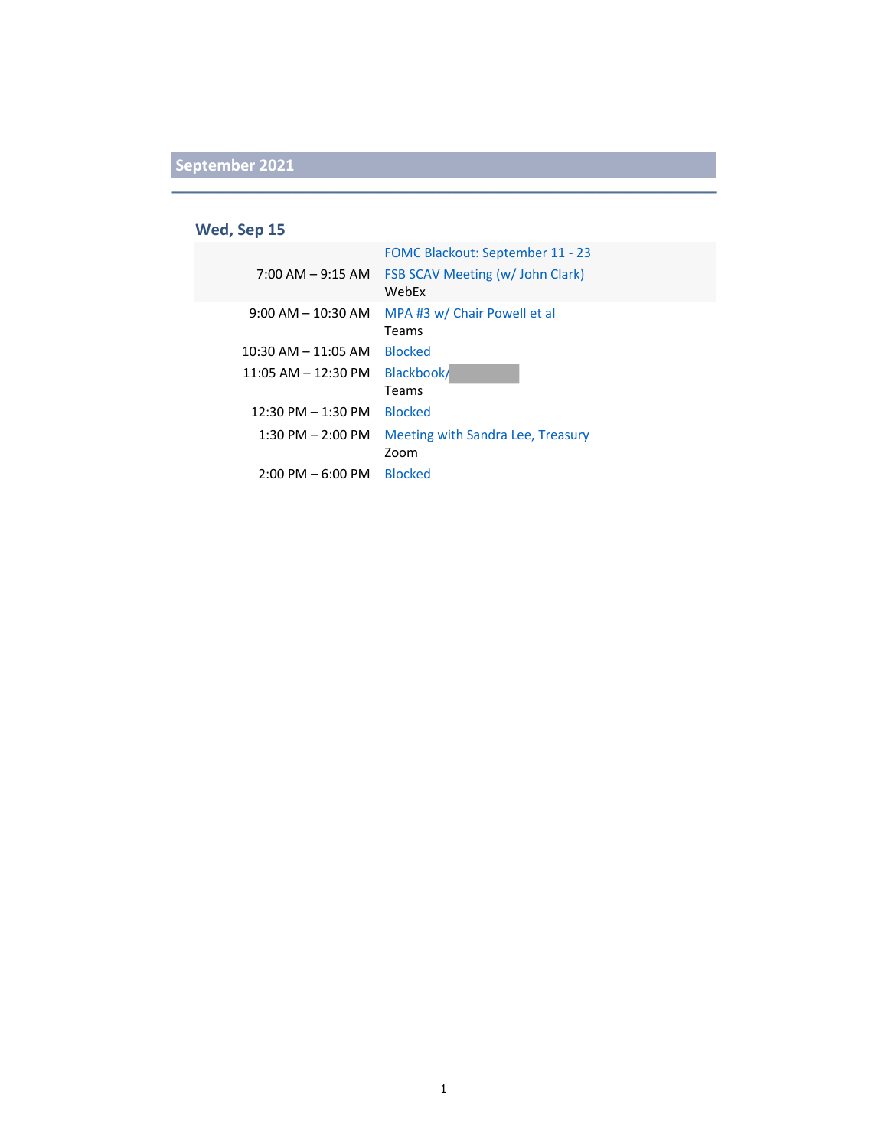### **Wed, Sep 15**

|                                     | FOMC Blackout: September 11 - 23          |
|-------------------------------------|-------------------------------------------|
| $7:00$ AM $-9:15$ AM                | FSB SCAV Meeting (w/ John Clark)<br>WebEx |
| $9:00$ AM $-$ 10:30 AM              | MPA #3 w/ Chair Powell et al<br>Teams     |
| $10:30$ AM $- 11:05$ AM             | <b>Blocked</b>                            |
| $11:05$ AM $- 12:30$ PM             | Blackbook/<br>Teams                       |
| $12:30$ PM $- 1:30$ PM              | <b>Blocked</b>                            |
| $1:30$ PM $- 2:00$ PM               | Meeting with Sandra Lee, Treasury<br>Zoom |
| $2:00 \text{ PM} - 6:00 \text{ PM}$ | <b>Blocked</b>                            |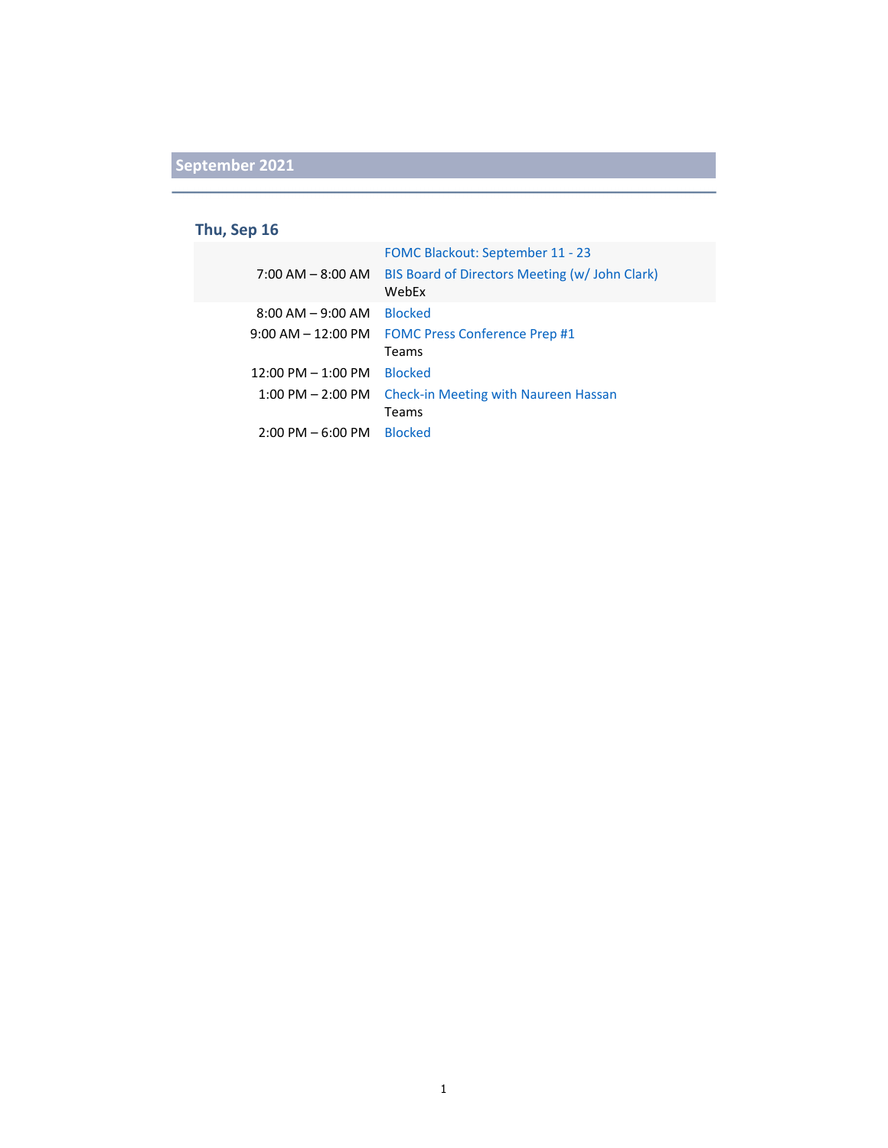#### **Thu, Sep 16**

|                                     | FOMC Blackout: September 11 - 23                        |
|-------------------------------------|---------------------------------------------------------|
| $7:00$ AM $-$ 8:00 AM               | BIS Board of Directors Meeting (w/ John Clark)<br>WebEx |
| $8:00$ AM $-9:00$ AM                | <b>Blocked</b>                                          |
| $9:00$ AM $-$ 12:00 PM              | <b>FOMC Press Conference Prep #1</b>                    |
|                                     | Teams                                                   |
| $12:00$ PM $- 1:00$ PM              | <b>Blocked</b>                                          |
| $1:00$ PM $- 2:00$ PM               | Check-in Meeting with Naureen Hassan                    |
|                                     | Teams                                                   |
| $2:00 \text{ PM} - 6:00 \text{ PM}$ | <b>Blocked</b>                                          |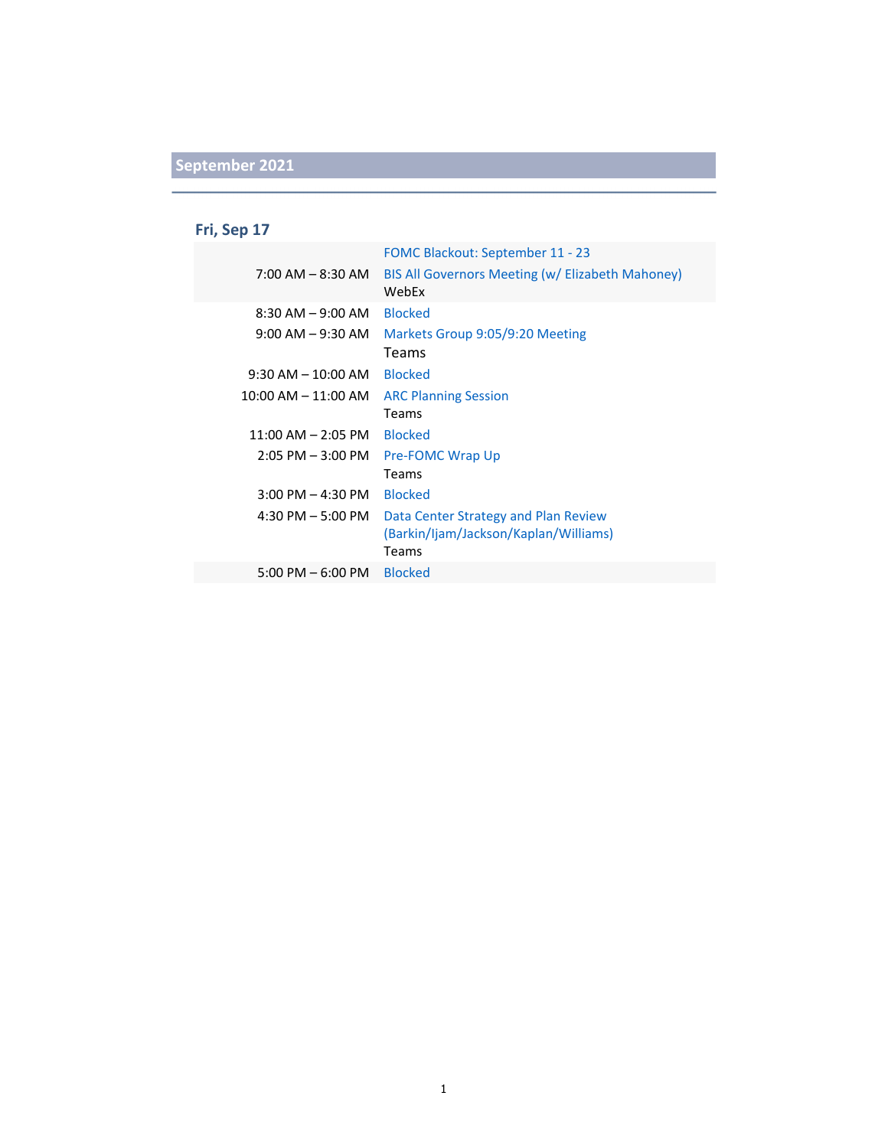### **Fri, Sep 17**

|                                     | FOMC Blackout: September 11 - 23                          |
|-------------------------------------|-----------------------------------------------------------|
| $7:00$ AM $-$ 8:30 AM               | BIS All Governors Meeting (w/ Elizabeth Mahoney)<br>WebEx |
| $8:30$ AM $-9:00$ AM                | <b>Blocked</b>                                            |
| $9:00$ AM $-9:30$ AM                | Markets Group 9:05/9:20 Meeting                           |
|                                     | Teams                                                     |
| $9:30$ AM $- 10:00$ AM              | <b>Blocked</b>                                            |
| $10:00$ AM $- 11:00$ AM             | <b>ARC Planning Session</b>                               |
|                                     | Teams                                                     |
| $11:00$ AM $-$ 2:05 PM              | <b>Blocked</b>                                            |
| $2:05$ PM $-3:00$ PM                | <b>Pre-FOMC Wrap Up</b>                                   |
|                                     | Teams                                                     |
| $3:00$ PM $-$ 4:30 PM               | <b>Blocked</b>                                            |
| 4:30 PM $-5:00$ PM                  | Data Center Strategy and Plan Review                      |
|                                     | (Barkin/ljam/Jackson/Kaplan/Williams)                     |
|                                     | Teams                                                     |
| $5:00 \text{ PM} - 6:00 \text{ PM}$ | <b>Blocked</b>                                            |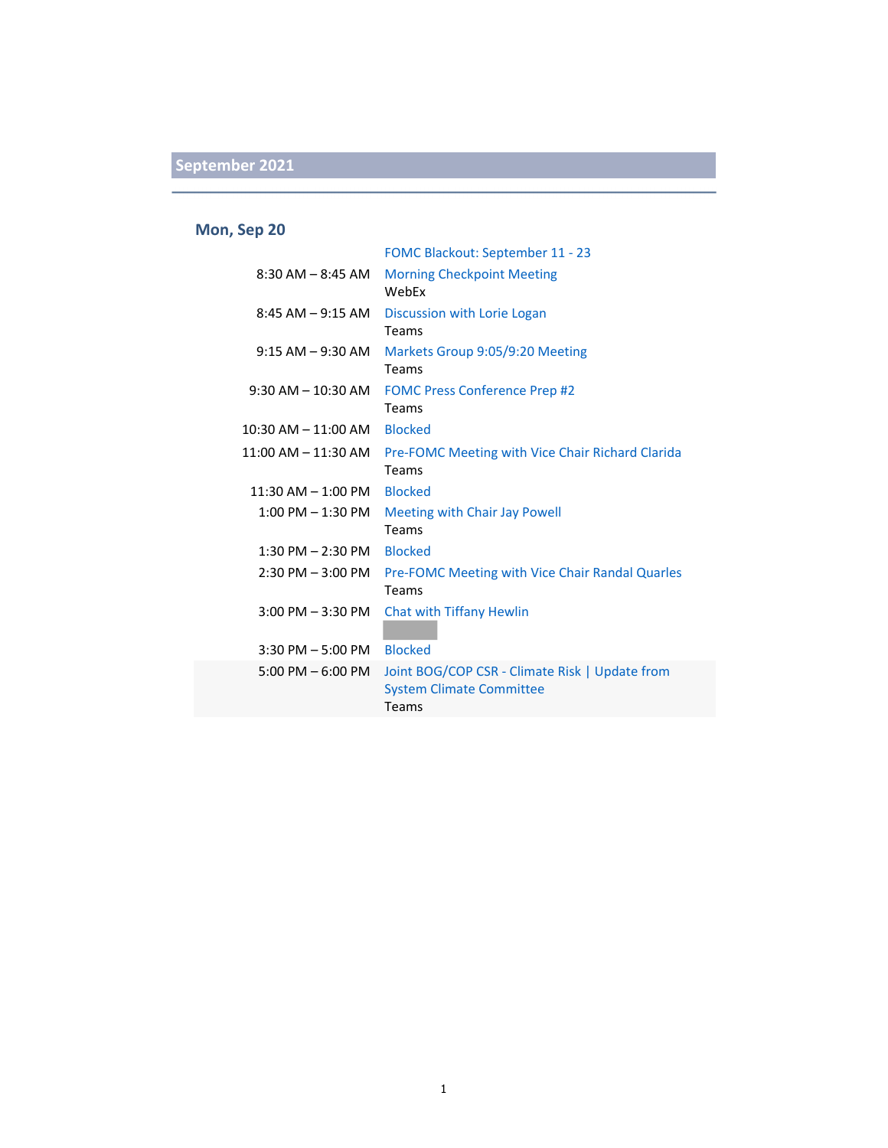### **Mon, Sep 20**

|                                     | FOMC Blackout: September 11 - 23                                                           |
|-------------------------------------|--------------------------------------------------------------------------------------------|
| $8:30$ AM $-8:45$ AM                | <b>Morning Checkpoint Meeting</b><br>WebFx                                                 |
| $8:45$ AM $-9:15$ AM                | Discussion with Lorie Logan<br>Teams                                                       |
| $9:15$ AM $-9:30$ AM                | Markets Group 9:05/9:20 Meeting<br>Teams                                                   |
| $9:30$ AM $-$ 10:30 AM              | <b>FOMC Press Conference Prep #2</b><br>Teams                                              |
| $10:30$ AM $- 11:00$ AM             | <b>Blocked</b>                                                                             |
| $11:00$ AM $- 11:30$ AM             | <b>Pre-FOMC Meeting with Vice Chair Richard Clarida</b><br>Teams                           |
| $11:30$ AM $- 1:00$ PM              | <b>Blocked</b>                                                                             |
| $1:00$ PM $-1:30$ PM                | Meeting with Chair Jay Powell<br>Teams                                                     |
| $1:30$ PM $- 2:30$ PM               | <b>Blocked</b>                                                                             |
| $2:30$ PM $-3:00$ PM                | Pre-FOMC Meeting with Vice Chair Randal Quarles<br>Teams                                   |
| $3:00$ PM $-3:30$ PM                | <b>Chat with Tiffany Hewlin</b>                                                            |
| $3:30$ PM $-5:00$ PM                | <b>Blocked</b>                                                                             |
| $5:00 \text{ PM} - 6:00 \text{ PM}$ | Joint BOG/COP CSR - Climate Risk   Update from<br><b>System Climate Committee</b><br>Teams |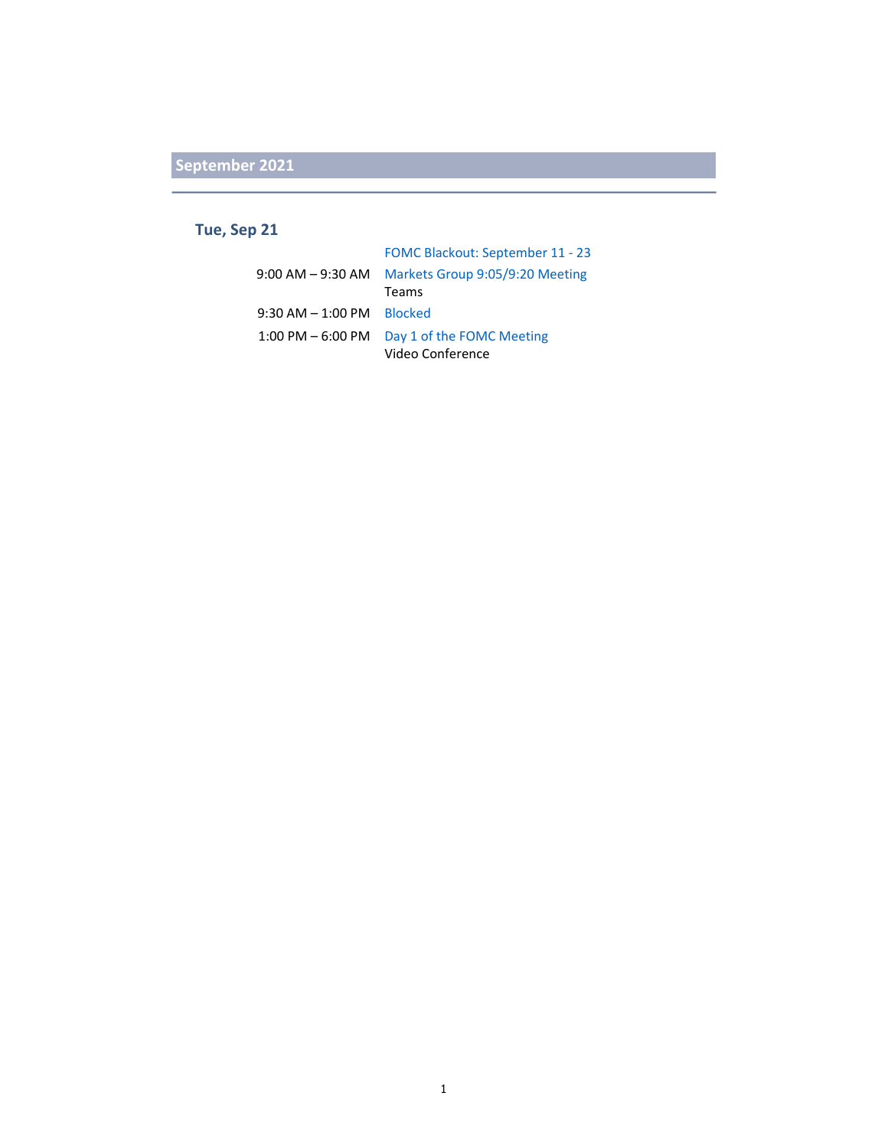### **Tue, Sep 21**

|                              | FOMC Blackout: September 11 - 23 |
|------------------------------|----------------------------------|
| $9:00$ AM $-9:30$ AM         | Markets Group 9:05/9:20 Meeting  |
|                              | <b>Teams</b>                     |
| $9:30$ AM $-1:00$ PM Blocked |                                  |
| $1:00$ PM $-6:00$ PM         | Day 1 of the FOMC Meeting        |
|                              | Video Conference                 |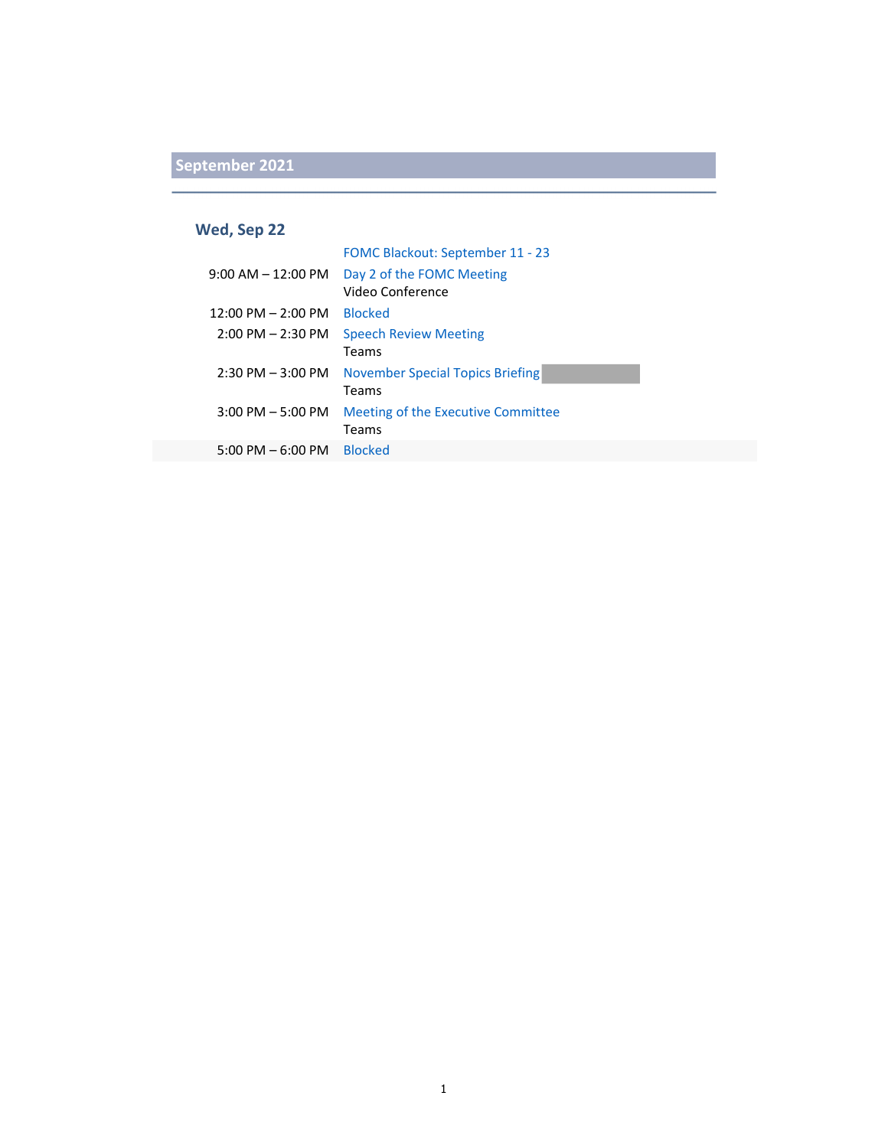#### **Wed, Sep 22**

|                                      | FOMC Blackout: September 11 - 23        |
|--------------------------------------|-----------------------------------------|
| $9:00$ AM $-$ 12:00 PM               | Day 2 of the FOMC Meeting               |
|                                      | Video Conference                        |
| $12:00 \text{ PM} - 2:00 \text{ PM}$ | <b>Blocked</b>                          |
| $2:00$ PM $- 2:30$ PM                | <b>Speech Review Meeting</b>            |
|                                      | Teams                                   |
| $2:30$ PM $-3:00$ PM                 | <b>November Special Topics Briefing</b> |
|                                      | Teams                                   |
| $3:00$ PM $-5:00$ PM                 | Meeting of the Executive Committee      |
|                                      | Teams                                   |
| $5:00 \text{ PM} - 6:00 \text{ PM}$  | <b>Blocked</b>                          |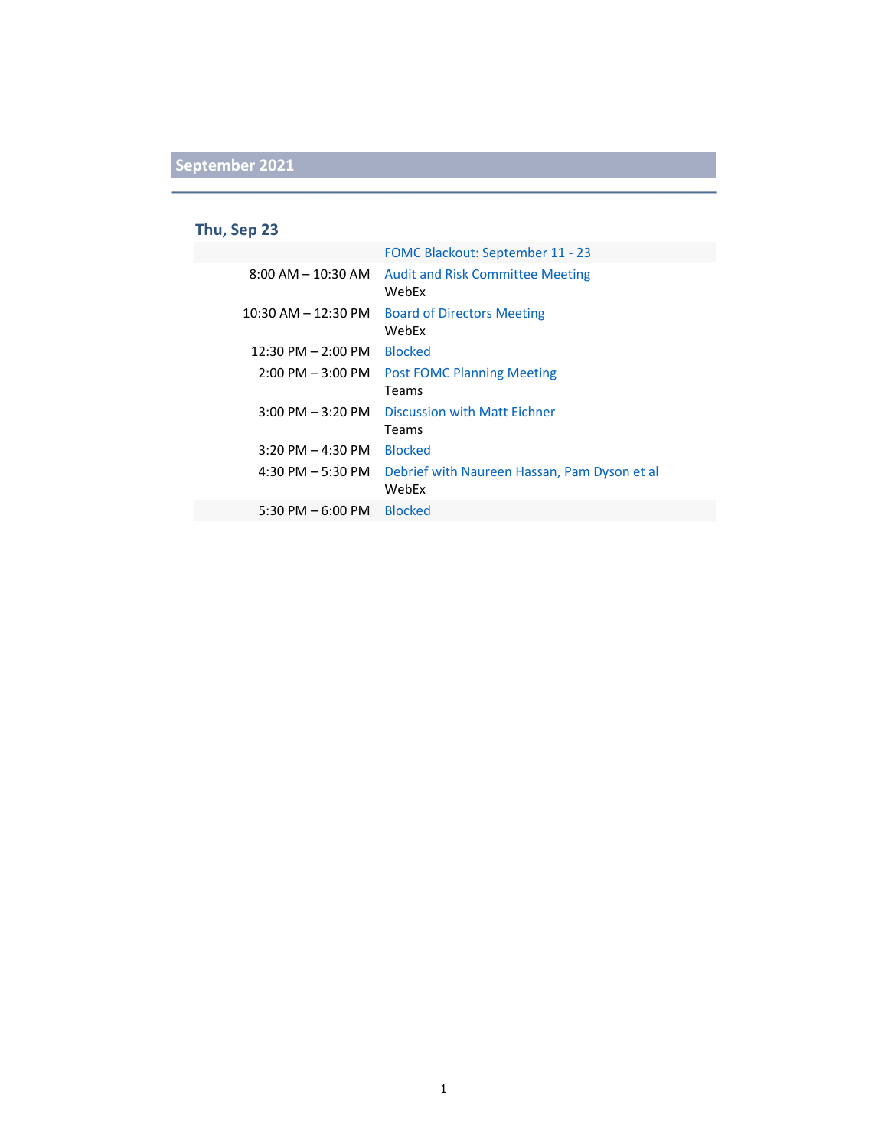### **Thu, Sep 23**

|                                     | FOMC Blackout: September 11 - 23                      |
|-------------------------------------|-------------------------------------------------------|
| $8:00$ AM $- 10:30$ AM              | <b>Audit and Risk Committee Meeting</b><br>WebEx      |
| $10:30$ AM $- 12:30$ PM             | <b>Board of Directors Meeting</b><br>WebFx            |
| $12:30$ PM $- 2:00$ PM              | <b>Blocked</b>                                        |
| $2:00$ PM $-3:00$ PM                | <b>Post FOMC Planning Meeting</b>                     |
|                                     | Teams                                                 |
| $3:00 \text{ PM} - 3:20 \text{ PM}$ | Discussion with Matt Fichner                          |
|                                     | Teams                                                 |
| $3:20$ PM $- 4:30$ PM               | <b>Blocked</b>                                        |
| 4:30 PM $-$ 5:30 PM                 | Debrief with Naureen Hassan, Pam Dyson et al<br>WebEx |
| $5:30$ PM $-6:00$ PM                | <b>Blocked</b>                                        |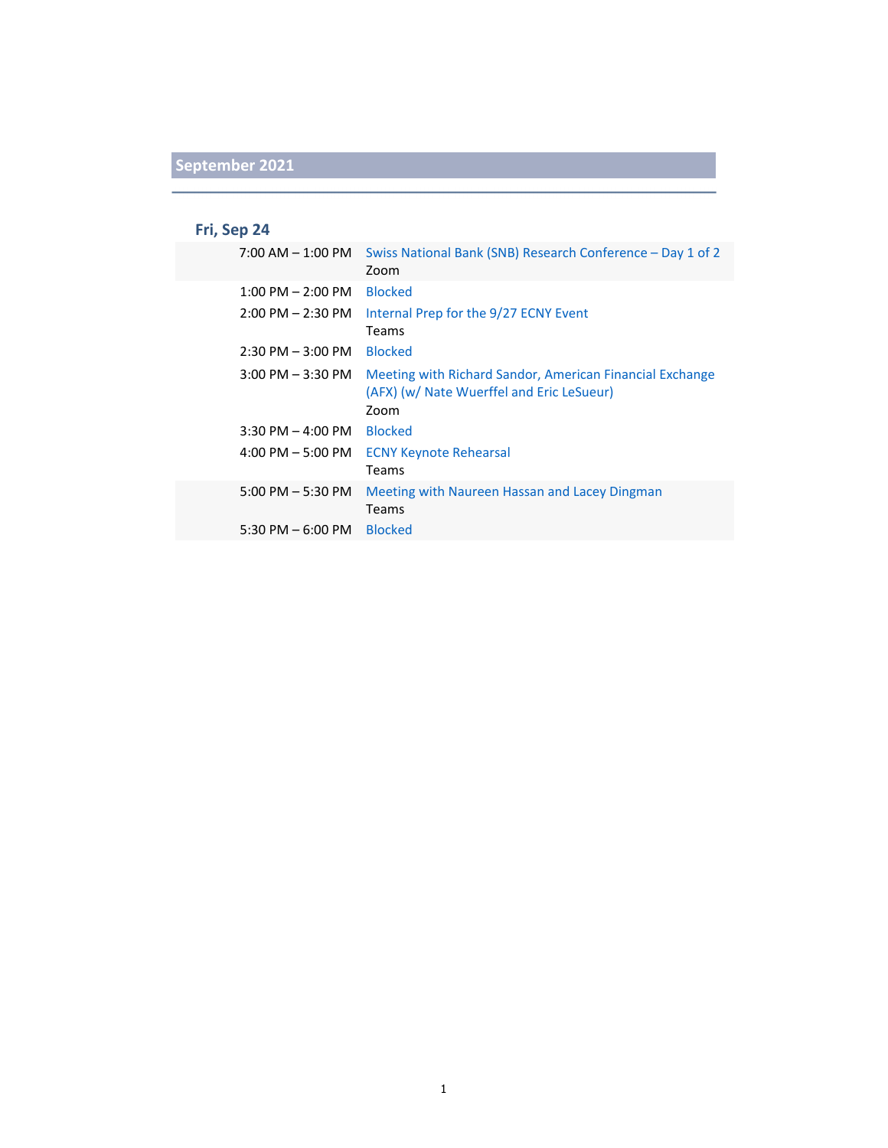## **Fri, Sep 24**

| $7:00$ AM $-1:00$ PM  | Swiss National Bank (SNB) Research Conference – Day 1 of 2<br>Zoom                                            |
|-----------------------|---------------------------------------------------------------------------------------------------------------|
| $1:00$ PM $- 2:00$ PM | <b>Blocked</b>                                                                                                |
| $2:00$ PM $- 2:30$ PM | Internal Prep for the 9/27 ECNY Event<br><b>Teams</b>                                                         |
| $2:30$ PM $-3:00$ PM  | <b>Blocked</b>                                                                                                |
| $3:00$ PM $-3:30$ PM  | Meeting with Richard Sandor, American Financial Exchange<br>(AFX) (w/ Nate Wuerffel and Eric LeSueur)<br>Zoom |
| $3:30$ PM $-$ 4:00 PM | <b>Blocked</b>                                                                                                |
| $4:00$ PM $-5:00$ PM  | <b>ECNY Keynote Rehearsal</b><br><b>Teams</b>                                                                 |
| $5:00$ PM $-5:30$ PM  | Meeting with Naureen Hassan and Lacey Dingman<br><b>Teams</b>                                                 |
| $5:30$ PM $-6:00$ PM  | <b>Blocked</b>                                                                                                |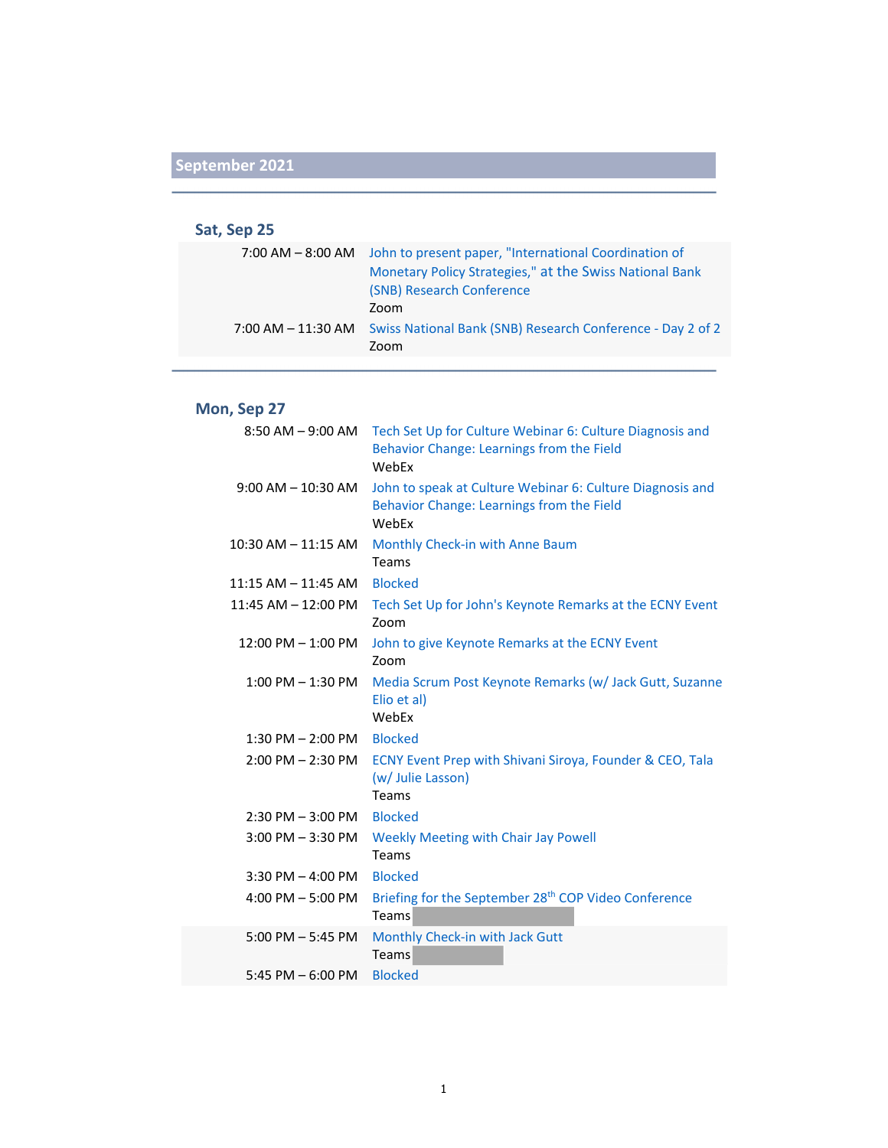#### **Sat, Sep 25**

|                    | 7:00 AM - 8:00 AM John to present paper, "International Coordination of |
|--------------------|-------------------------------------------------------------------------|
|                    | Monetary Policy Strategies," at the Swiss National Bank                 |
|                    | (SNB) Research Conference                                               |
|                    | Zoom                                                                    |
| 7:00 AM – 11:30 AM | Swiss National Bank (SNB) Research Conference - Day 2 of 2<br>Zoom      |

### **Mon, Sep 27**

| $8:50$ AM $-9:00$ AM    | Tech Set Up for Culture Webinar 6: Culture Diagnosis and<br>Behavior Change: Learnings from the Field<br>WebEx  |
|-------------------------|-----------------------------------------------------------------------------------------------------------------|
| $9:00$ AM $-$ 10:30 AM  | John to speak at Culture Webinar 6: Culture Diagnosis and<br>Behavior Change: Learnings from the Field<br>WebEx |
| $10:30$ AM $- 11:15$ AM | Monthly Check-in with Anne Baum<br>Teams                                                                        |
| $11:15$ AM $-11:45$ AM  | <b>Blocked</b>                                                                                                  |
| $11:45$ AM $-12:00$ PM  | Tech Set Up for John's Keynote Remarks at the ECNY Event<br>Zoom                                                |
| $12:00$ PM $- 1:00$ PM  | John to give Keynote Remarks at the ECNY Event<br>Zoom                                                          |
| $1:00$ PM $-1:30$ PM    | Media Scrum Post Keynote Remarks (w/ Jack Gutt, Suzanne<br>Elio et al)<br>WebEx                                 |
| $1:30$ PM $- 2:00$ PM   | <b>Blocked</b>                                                                                                  |
| $2:00$ PM $- 2:30$ PM   | ECNY Event Prep with Shivani Siroya, Founder & CEO, Tala<br>(w/ Julie Lasson)<br>Teams                          |
| $2:30$ PM $-3:00$ PM    | <b>Blocked</b>                                                                                                  |
| $3:00$ PM $-3:30$ PM    | <b>Weekly Meeting with Chair Jay Powell</b><br>Teams                                                            |
| $3:30$ PM $-$ 4:00 PM   | <b>Blocked</b>                                                                                                  |
| 4:00 PM $-$ 5:00 PM     | Briefing for the September 28 <sup>th</sup> COP Video Conference<br>Teams                                       |
| $5:00$ PM $-5:45$ PM    | Monthly Check-in with Jack Gutt<br>Teams                                                                        |
| 5:45 PM $-6:00$ PM      | <b>Blocked</b>                                                                                                  |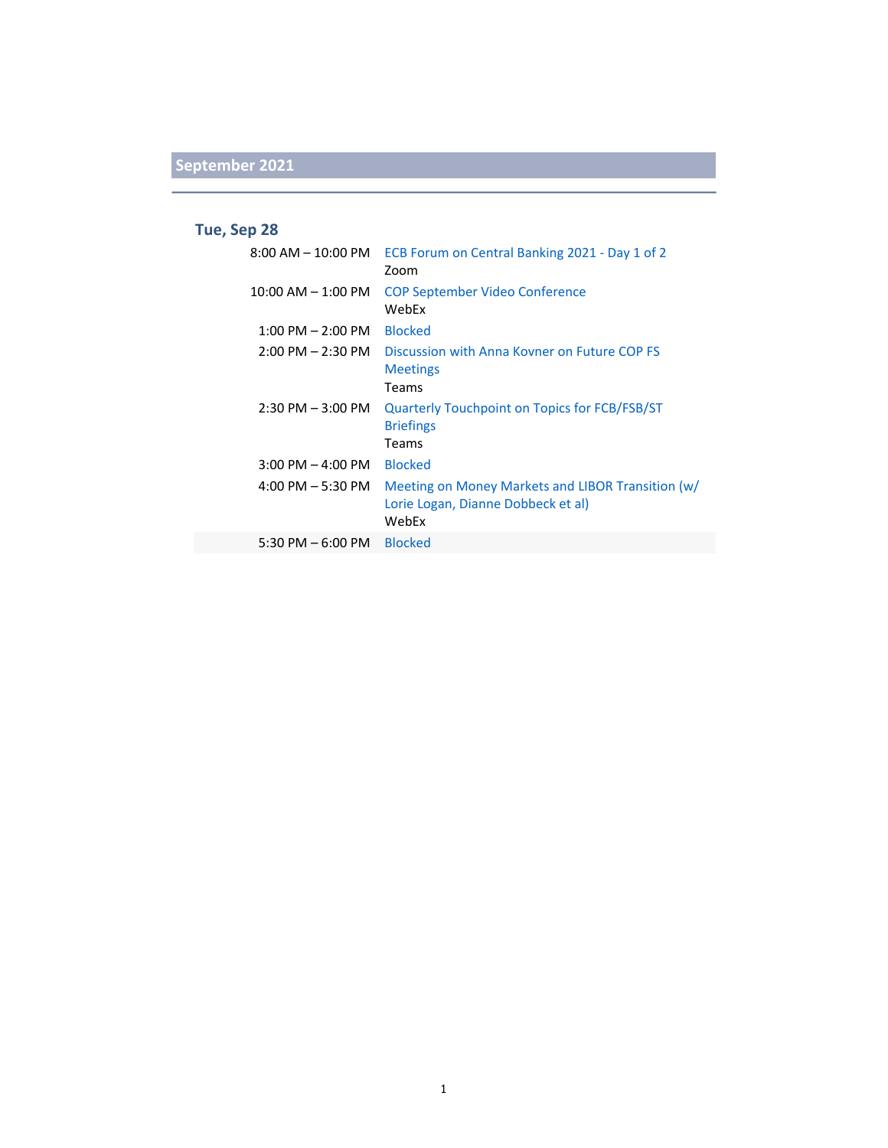### **Tue, Sep 28**

| $8:00$ AM $-$ 10:00 PM              | ECB Forum on Central Banking 2021 - Day 1 of 2<br>Zoom                                           |
|-------------------------------------|--------------------------------------------------------------------------------------------------|
| $10:00$ AM $- 1:00$ PM              | <b>COP September Video Conference</b><br>WebEx                                                   |
| $1:00$ PM $- 2:00$ PM               | <b>Blocked</b>                                                                                   |
| $2:00 \text{ PM} - 2:30 \text{ PM}$ | Discussion with Anna Kovner on Future COP ES<br><b>Meetings</b><br>Teams                         |
| $2:30$ PM $-3:00$ PM                | Quarterly Touchpoint on Topics for FCB/FSB/ST<br><b>Briefings</b><br>Teams                       |
| $3:00$ PM $-$ 4:00 PM               | <b>Blocked</b>                                                                                   |
| $4:00 \text{ PM} - 5:30 \text{ PM}$ | Meeting on Money Markets and LIBOR Transition (w/<br>Lorie Logan, Dianne Dobbeck et al)<br>WebEx |
| 5:30 PM $-6:00$ PM                  | <b>Blocked</b>                                                                                   |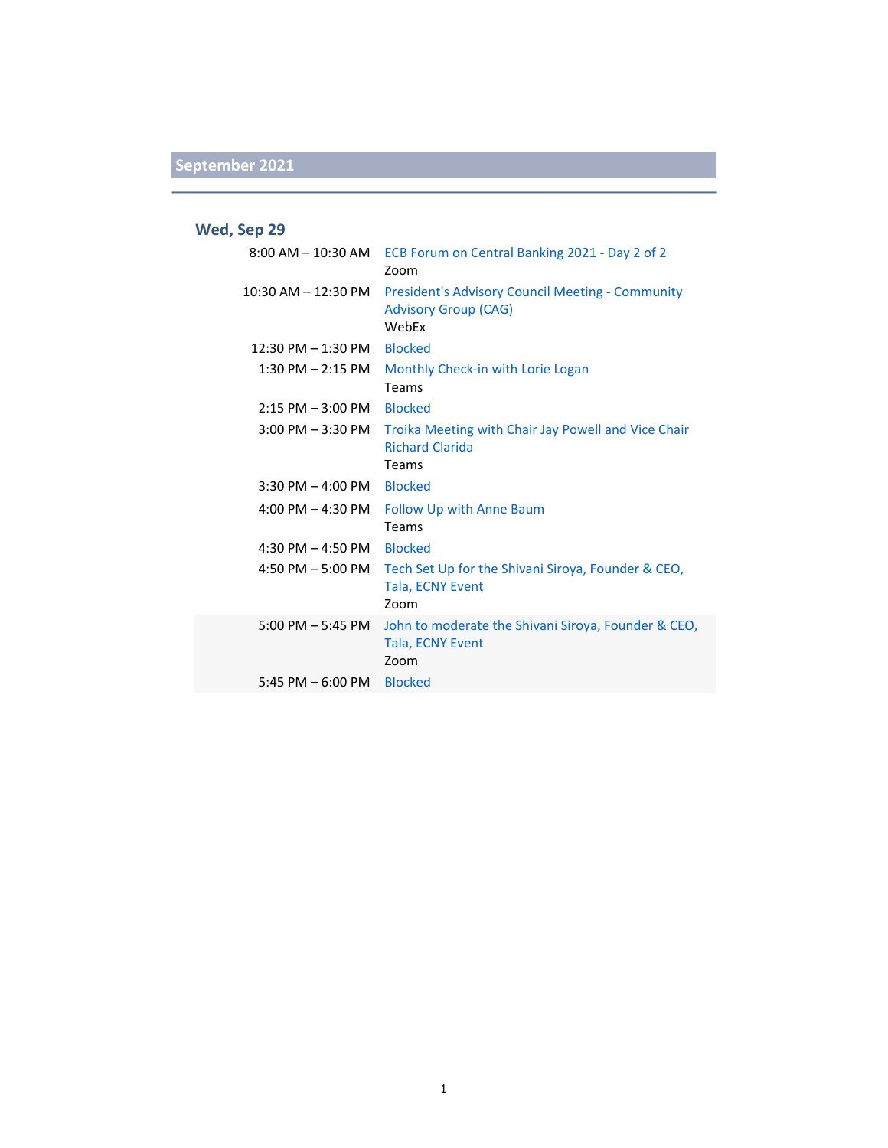### **Wed, Sep 29**

| $8:00$ AM $-$ 10:30 AM              | ECB Forum on Central Banking 2021 - Day 2 of 2<br>Zoom                                          |
|-------------------------------------|-------------------------------------------------------------------------------------------------|
| $10:30$ AM $- 12:30$ PM             | <b>President's Advisory Council Meeting - Community</b><br><b>Advisory Group (CAG)</b><br>WebFx |
| $12:30$ PM $- 1:30$ PM              | <b>Blocked</b>                                                                                  |
| $1:30$ PM $- 2:15$ PM               | Monthly Check-in with Lorie Logan<br>Teams                                                      |
| 2:15 PM - 3:00 PM                   | <b>Blocked</b>                                                                                  |
| $3:00$ PM $-3:30$ PM                | Troika Meeting with Chair Jay Powell and Vice Chair<br><b>Richard Clarida</b><br>Teams          |
| $3:30$ PM $-$ 4:00 PM               | <b>Blocked</b>                                                                                  |
| 4:00 PM $-$ 4:30 PM                 | <b>Follow Up with Anne Baum</b><br>Teams                                                        |
| 4:30 PM $-$ 4:50 PM                 | <b>Blocked</b>                                                                                  |
| 4:50 PM $-$ 5:00 PM                 | Tech Set Up for the Shivani Siroya, Founder & CEO,<br><b>Tala, ECNY Event</b><br>700m           |
| $5:00 \text{ PM} - 5:45 \text{ PM}$ | John to moderate the Shivani Siroya, Founder & CEO,<br>Tala, ECNY Event<br>Zoom                 |
| 5:45 PM $-6:00$ PM                  | <b>Blocked</b>                                                                                  |